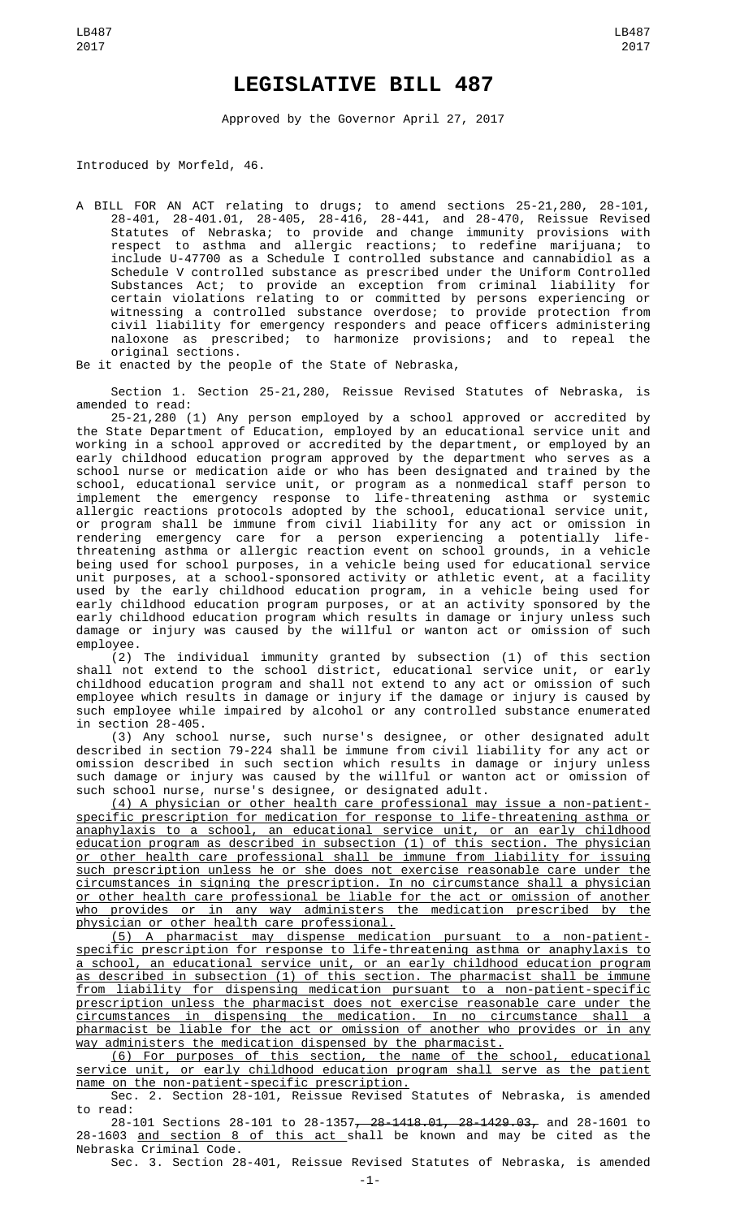## **LEGISLATIVE BILL 487**

Approved by the Governor April 27, 2017

Introduced by Morfeld, 46.

A BILL FOR AN ACT relating to drugs; to amend sections 25-21,280, 28-101, 28-401, 28-401.01, 28-405, 28-416, 28-441, and 28-470, Reissue Revised Statutes of Nebraska; to provide and change immunity provisions with respect to asthma and allergic reactions; to redefine marijuana; to include U-47700 as a Schedule I controlled substance and cannabidiol as a Schedule V controlled substance as prescribed under the Uniform Controlled Substances Act; to provide an exception from criminal liability for certain violations relating to or committed by persons experiencing or witnessing a controlled substance overdose; to provide protection from civil liability for emergency responders and peace officers administering naloxone as prescribed; to harmonize provisions; and to repeal the original sections.

Be it enacted by the people of the State of Nebraska,

Section 1. Section 25-21,280, Reissue Revised Statutes of Nebraska, is amended to read:

25-21,280 (1) Any person employed by a school approved or accredited by the State Department of Education, employed by an educational service unit and working in a school approved or accredited by the department, or employed by an early childhood education program approved by the department who serves as a school nurse or medication aide or who has been designated and trained by the school, educational service unit, or program as a nonmedical staff person to implement the emergency response to life-threatening asthma or systemic allergic reactions protocols adopted by the school, educational service unit, or program shall be immune from civil liability for any act or omission in rendering emergency care for a person experiencing a potentially lifethreatening asthma or allergic reaction event on school grounds, in a vehicle being used for school purposes, in a vehicle being used for educational service unit purposes, at a school-sponsored activity or athletic event, at a facility used by the early childhood education program, in a vehicle being used for early childhood education program purposes, or at an activity sponsored by the early childhood education program which results in damage or injury unless such damage or injury was caused by the willful or wanton act or omission of such employee.

(2) The individual immunity granted by subsection (1) of this section shall not extend to the school district, educational service unit, or early childhood education program and shall not extend to any act or omission of such employee which results in damage or injury if the damage or injury is caused by such employee while impaired by alcohol or any controlled substance enumerated in section 28-405.

(3) Any school nurse, such nurse's designee, or other designated adult described in section 79-224 shall be immune from civil liability for any act or omission described in such section which results in damage or injury unless such damage or injury was caused by the willful or wanton act or omission of such school nurse, nurse's designee, or designated adult.

(4) A physician or other health care professional may issue a non-patientspecific prescription for medication for response to life-threatening asthma or anaphylaxis to a school, an educational service unit, or an early childhood education program as described in subsection (1) of this section. The physician or other health care professional shall be immune from liability for issuing such prescription unless he or she does not exercise reasonable care under the circumstances in signing the prescription. In no circumstance shall a physician or other health care professional be liable for the act or omission of another who provides or in any way administers the medication prescribed by the physician or other health care professional.

(5) A pharmacist may dispense medication pursuant to a non-patientspecific prescription for response to life-threatening asthma or anaphylaxis to a school, an educational service unit, or an early childhood education program as described in subsection (1) of this section. The pharmacist shall be immune from liability for dispensing medication pursuant to a non-patient-specific prescription unless the pharmacist does not exercise reasonable care under the circumstances in dispensing the medication. In no circumstance shall a pharmacist be liable for the act or omission of another who provides or in any way administers the medication dispensed by the pharmacist.

(6) For purposes of this section, the name of the school, educational service unit, or early childhood education program shall serve as the patient name on the non-patient-specific prescription.

Sec. 2. Section 28-101, Reissue Revised Statutes of Nebraska, is amended to read:

28-101 Sections 28-101 to 28-1357, 28-1418.01, 28-1429.03, and 28-1601 to 28-1603 <u>and section 8 of this act shall be known and may be cited as the</u> Nebraska Criminal Code.

Sec. 3. Section 28-401, Reissue Revised Statutes of Nebraska, is amended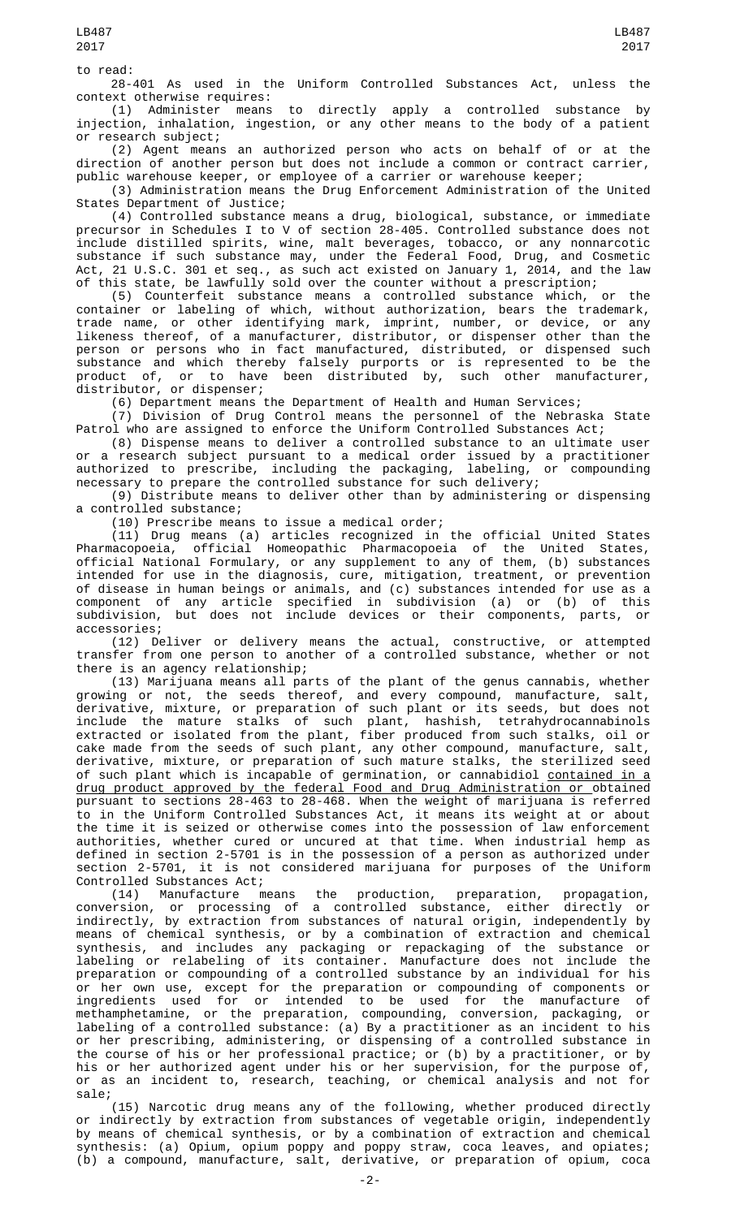to read:

28-401 As used in the Uniform Controlled Substances Act, unless the

context otherwise requires: (1) Administer means to directly apply a controlled substance by injection, inhalation, ingestion, or any other means to the body of a patient or research subject;

(2) Agent means an authorized person who acts on behalf of or at the direction of another person but does not include a common or contract carrier,

public warehouse keeper, or employee of a carrier or warehouse keeper; (3) Administration means the Drug Enforcement Administration of the United States Department of Justice;

(4) Controlled substance means a drug, biological, substance, or immediate precursor in Schedules I to V of section 28-405. Controlled substance does not include distilled spirits, wine, malt beverages, tobacco, or any nonnarcotic substance if such substance may, under the Federal Food, Drug, and Cosmetic Act, 21 U.S.C. 301 et seq., as such act existed on January 1, 2014, and the law of this state, be lawfully sold over the counter without a prescription;

(5) Counterfeit substance means a controlled substance which, or the container or labeling of which, without authorization, bears the trademark, trade name, or other identifying mark, imprint, number, or device, or any likeness thereof, of a manufacturer, distributor, or dispenser other than the person or persons who in fact manufactured, distributed, or dispensed such substance and which thereby falsely purports or is represented to be the product of, or to have been distributed by, such other manufacturer, distributor, or dispenser;

(6) Department means the Department of Health and Human Services;

(7) Division of Drug Control means the personnel of the Nebraska State Patrol who are assigned to enforce the Uniform Controlled Substances Act;

(8) Dispense means to deliver a controlled substance to an ultimate user or a research subject pursuant to a medical order issued by a practitioner authorized to prescribe, including the packaging, labeling, or compounding necessary to prepare the controlled substance for such delivery;

(9) Distribute means to deliver other than by administering or dispensing a controlled substance;

(10) Prescribe means to issue a medical order;

(11) Drug means (a) articles recognized in the official United States Pharmacopoeia, official Homeopathic Pharmacopoeia of the United States, official National Formulary, or any supplement to any of them, (b) substances intended for use in the diagnosis, cure, mitigation, treatment, or prevention of disease in human beings or animals, and (c) substances intended for use as a component of any article specified in subdivision (a) or (b) of this subdivision, but does not include devices or their components, parts, or accessories;

(12) Deliver or delivery means the actual, constructive, or attempted transfer from one person to another of a controlled substance, whether or not there is an agency relationship;

(13) Marijuana means all parts of the plant of the genus cannabis, whether growing or not, the seeds thereof, and every compound, manufacture, salt, derivative, mixture, or preparation of such plant or its seeds, but does not include the mature stalks of such plant, hashish, tetrahydrocannabinols extracted or isolated from the plant, fiber produced from such stalks, oil or cake made from the seeds of such plant, any other compound, manufacture, salt, derivative, mixture, or preparation of such mature stalks, the sterilized seed of such plant which is incapable of germination, or cannabidiol <u>contained in a</u> drug product approved by the federal Food and Drug Administration or obtained pursuant to sections 28-463 to 28-468. When the weight of marijuana is referred to in the Uniform Controlled Substances Act, it means its weight at or about the time it is seized or otherwise comes into the possession of law enforcement authorities, whether cured or uncured at that time. When industrial hemp as defined in section 2-5701 is in the possession of a person as authorized under section 2-5701, it is not considered marijuana for purposes of the Uniform Controlled Substances Act;<br>(14) Manufacture means

(14) Manufacture means the production, preparation, propagation, conversion, or processing of a controlled substance, either directly or indirectly, by extraction from substances of natural origin, independently by means of chemical synthesis, or by a combination of extraction and chemical synthesis, and includes any packaging or repackaging of the substance or labeling or relabeling of its container. Manufacture does not include the preparation or compounding of a controlled substance by an individual for his or her own use, except for the preparation or compounding of components or ingredients used for or intended to be used for the manufacture of methamphetamine, or the preparation, compounding, conversion, packaging, or labeling of a controlled substance: (a) By a practitioner as an incident to his or her prescribing, administering, or dispensing of a controlled substance in the course of his or her professional practice; or (b) by a practitioner, or by his or her authorized agent under his or her supervision, for the purpose of, or as an incident to, research, teaching, or chemical analysis and not for sale;

(15) Narcotic drug means any of the following, whether produced directly or indirectly by extraction from substances of vegetable origin, independently by means of chemical synthesis, or by a combination of extraction and chemical synthesis: (a) Opium, opium poppy and poppy straw, coca leaves, and opiates; (b) a compound, manufacture, salt, derivative, or preparation of opium, coca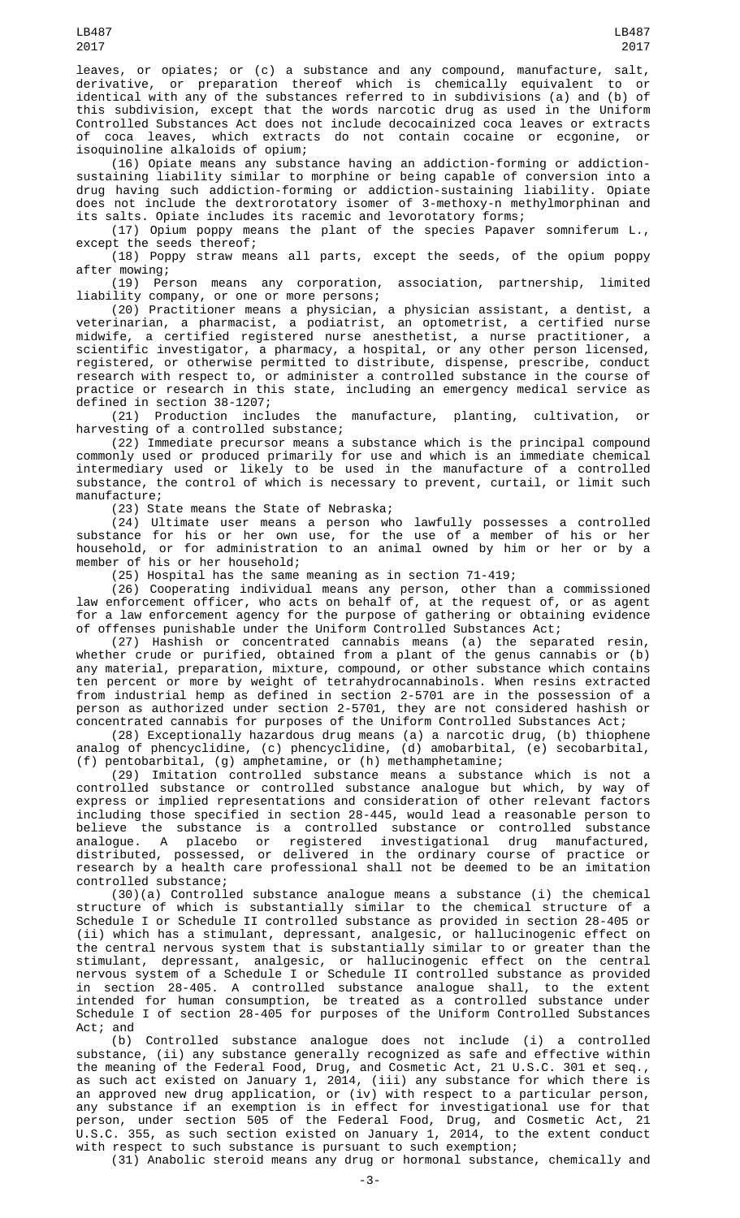leaves, or opiates; or (c) a substance and any compound, manufacture, salt, derivative, or preparation thereof which is chemically equivalent to or identical with any of the substances referred to in subdivisions (a) and (b) of this subdivision, except that the words narcotic drug as used in the Uniform Controlled Substances Act does not include decocainized coca leaves or extracts of coca leaves, which extracts do not contain cocaine or ecgonine, or isoquinoline alkaloids of opium;

(16) Opiate means any substance having an addiction-forming or addictionsustaining liability similar to morphine or being capable of conversion into a drug having such addiction-forming or addiction-sustaining liability. Opiate does not include the dextrorotatory isomer of 3-methoxy-n methylmorphinan and its salts. Opiate includes its racemic and levorotatory forms;

(17) Opium poppy means the plant of the species Papaver somniferum L., except the seeds thereof;

(18) Poppy straw means all parts, except the seeds, of the opium poppy after mowing;

(19) Person means any corporation, association, partnership, limited liability company, or one or more persons;

(20) Practitioner means a physician, a physician assistant, a dentist, a veterinarian, a pharmacist, a podiatrist, an optometrist, a certified nurse midwife, a certified registered nurse anesthetist, a nurse practitioner, a scientific investigator, a pharmacy, a hospital, or any other person licensed, registered, or otherwise permitted to distribute, dispense, prescribe, conduct research with respect to, or administer a controlled substance in the course of practice or research in this state, including an emergency medical service as defined in section 38-1207;

(21) Production includes the manufacture, planting, cultivation, or harvesting of a controlled substance;

(22) Immediate precursor means a substance which is the principal compound commonly used or produced primarily for use and which is an immediate chemical intermediary used or likely to be used in the manufacture of a controlled substance, the control of which is necessary to prevent, curtail, or limit such manufacture;

(23) State means the State of Nebraska;

(24) Ultimate user means a person who lawfully possesses a controlled substance for his or her own use, for the use of a member of his or her household, or for administration to an animal owned by him or her or by a member of his or her household;

(25) Hospital has the same meaning as in section 71-419;

(26) Cooperating individual means any person, other than a commissioned law enforcement officer, who acts on behalf of, at the request of, or as agent for a law enforcement agency for the purpose of gathering or obtaining evidence of offenses punishable under the Uniform Controlled Substances Act;

(27) Hashish or concentrated cannabis means (a) the separated resin, whether crude or purified, obtained from a plant of the genus cannabis or (b) any material, preparation, mixture, compound, or other substance which contains ten percent or more by weight of tetrahydrocannabinols. When resins extracted from industrial hemp as defined in section 2-5701 are in the possession of a person as authorized under section 2-5701, they are not considered hashish or concentrated cannabis for purposes of the Uniform Controlled Substances Act;

(28) Exceptionally hazardous drug means (a) a narcotic drug, (b) thiophene analog of phencyclidine, (c) phencyclidine, (d) amobarbital, (e) secobarbital, (f) pentobarbital, (g) amphetamine, or (h) methamphetamine;

(29) Imitation controlled substance means a substance which is not a controlled substance or controlled substance analogue but which, by way of express or implied representations and consideration of other relevant factors including those specified in section 28-445, would lead a reasonable person to believe the substance is a controlled substance or controlled substance analogue. A placebo or registered investigational drug manufactured, distributed, possessed, or delivered in the ordinary course of practice or research by a health care professional shall not be deemed to be an imitation controlled substance;

(30)(a) Controlled substance analogue means a substance (i) the chemical structure of which is substantially similar to the chemical structure of a Schedule I or Schedule II controlled substance as provided in section 28-405 or (ii) which has a stimulant, depressant, analgesic, or hallucinogenic effect on the central nervous system that is substantially similar to or greater than the stimulant, depressant, analgesic, or hallucinogenic effect on the central nervous system of a Schedule I or Schedule II controlled substance as provided in section 28-405. A controlled substance analogue shall, to the extent intended for human consumption, be treated as a controlled substance under Schedule I of section 28-405 for purposes of the Uniform Controlled Substances Act; and

(b) Controlled substance analogue does not include (i) a controlled substance, (ii) any substance generally recognized as safe and effective within the meaning of the Federal Food, Drug, and Cosmetic Act, 21 U.S.C. 301 et seq., as such act existed on January 1, 2014, (iii) any substance for which there is an approved new drug application, or (iv) with respect to a particular person, any substance if an exemption is in effect for investigational use for that person, under section 505 of the Federal Food, Drug, and Cosmetic Act, 21 U.S.C. 355, as such section existed on January 1, 2014, to the extent conduct with respect to such substance is pursuant to such exemption;

(31) Anabolic steroid means any drug or hormonal substance, chemically and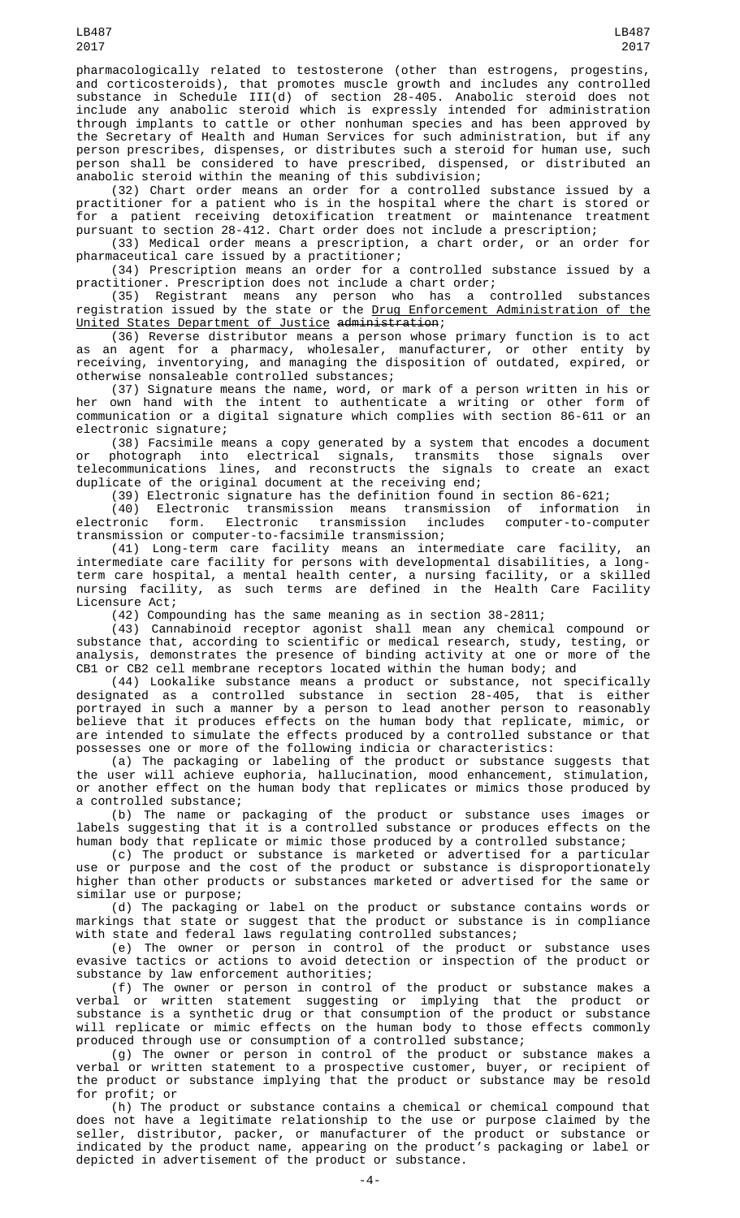pharmacologically related to testosterone (other than estrogens, progestins, and corticosteroids), that promotes muscle growth and includes any controlled substance in Schedule III(d) of section 28-405. Anabolic steroid does not include any anabolic steroid which is expressly intended for administration through implants to cattle or other nonhuman species and has been approved by the Secretary of Health and Human Services for such administration, but if any person prescribes, dispenses, or distributes such a steroid for human use, such person shall be considered to have prescribed, dispensed, or distributed an anabolic steroid within the meaning of this subdivision;

(32) Chart order means an order for a controlled substance issued by a practitioner for a patient who is in the hospital where the chart is stored or for a patient receiving detoxification treatment or maintenance treatment pursuant to section 28-412. Chart order does not include a prescription;

(33) Medical order means a prescription, a chart order, or an order for pharmaceutical care issued by a practitioner;

(34) Prescription means an order for a controlled substance issued by a practitioner. Prescription does not include a chart order;

(35) Registrant means any person who has a controlled substances registration issued by the state or the Drug Enforcement Administration of the United States Department of Justice administration;

(36) Reverse distributor means a person whose primary function is to act as an agent for a pharmacy, wholesaler, manufacturer, or other entity by receiving, inventorying, and managing the disposition of outdated, expired, or otherwise nonsaleable controlled substances;

(37) Signature means the name, word, or mark of a person written in his or her own hand with the intent to authenticate a writing or other form of communication or a digital signature which complies with section 86-611 or an electronic signature;

(38) Facsimile means a copy generated by a system that encodes a document or photograph into electrical signals, transmits those signals over telecommunications lines, and reconstructs the signals to create an exact duplicate of the original document at the receiving end;

(39) Electronic signature has the definition found in section 86-621;

(40) Electronic transmission means transmission of information in electronic form. Electronic transmission includes computer-to-computer transmission or computer-to-facsimile transmission;

(41) Long-term care facility means an intermediate care facility, an intermediate care facility for persons with developmental disabilities, a longterm care hospital, a mental health center, a nursing facility, or a skilled nursing facility, as such terms are defined in the Health Care Facility Licensure Act;

(42) Compounding has the same meaning as in section 38-2811;

(43) Cannabinoid receptor agonist shall mean any chemical compound or substance that, according to scientific or medical research, study, testing, or analysis, demonstrates the presence of binding activity at one or more of the CB1 or CB2 cell membrane receptors located within the human body; and

(44) Lookalike substance means a product or substance, not specifically designated as a controlled substance in section 28-405, that is either portrayed in such a manner by a person to lead another person to reasonably believe that it produces effects on the human body that replicate, mimic, or are intended to simulate the effects produced by a controlled substance or that possesses one or more of the following indicia or characteristics:

(a) The packaging or labeling of the product or substance suggests that the user will achieve euphoria, hallucination, mood enhancement, stimulation, or another effect on the human body that replicates or mimics those produced by a controlled substance;

(b) The name or packaging of the product or substance uses images or labels suggesting that it is a controlled substance or produces effects on the human body that replicate or mimic those produced by a controlled substance;

(c) The product or substance is marketed or advertised for a particular use or purpose and the cost of the product or substance is disproportionately higher than other products or substances marketed or advertised for the same or similar use or purpose;

(d) The packaging or label on the product or substance contains words or markings that state or suggest that the product or substance is in compliance with state and federal laws regulating controlled substances;

(e) The owner or person in control of the product or substance uses evasive tactics or actions to avoid detection or inspection of the product or substance by law enforcement authorities;

(f) The owner or person in control of the product or substance makes a verbal or written statement suggesting or implying that the product or substance is a synthetic drug or that consumption of the product or substance will replicate or mimic effects on the human body to those effects commonly produced through use or consumption of a controlled substance;

(g) The owner or person in control of the product or substance makes a verbal or written statement to a prospective customer, buyer, or recipient of the product or substance implying that the product or substance may be resold for profit; or

(h) The product or substance contains a chemical or chemical compound that does not have a legitimate relationship to the use or purpose claimed by the seller, distributor, packer, or manufacturer of the product or substance or indicated by the product name, appearing on the product's packaging or label or depicted in advertisement of the product or substance.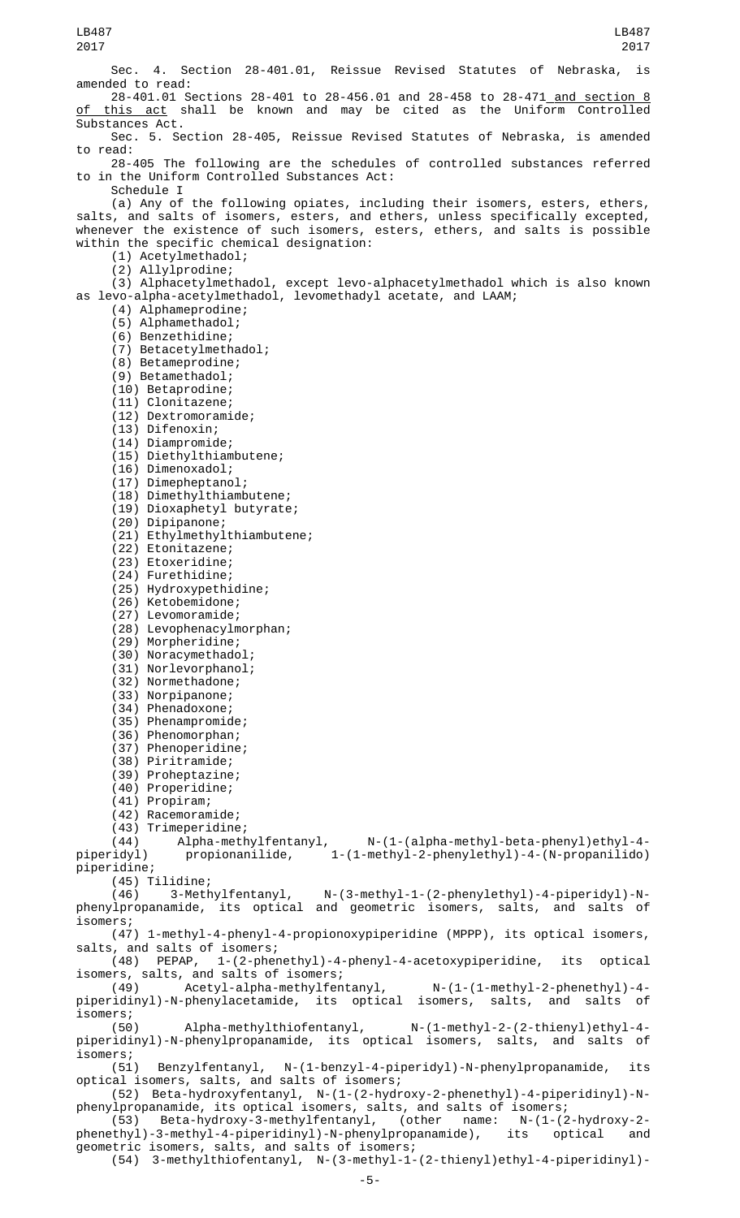Sec. 4. Section 28-401.01, Reissue Revised Statutes of Nebraska, is amended to read: 28-401.01 Sections 28-401 to 28-456.01 and 28-458 to 28-471 and section 8 this act shall be known and may be cited as the Uniform Controlled Substances Act. Sec. 5. Section 28-405, Reissue Revised Statutes of Nebraska, is amended to read: 28-405 The following are the schedules of controlled substances referred to in the Uniform Controlled Substances Act: Schedule I (a) Any of the following opiates, including their isomers, esters, ethers, salts, and salts of isomers, esters, and ethers, unless specifically excepted, whenever the existence of such isomers, esters, ethers, and salts is possible within the specific chemical designation: (1) Acetylmethadol; (2) Allylprodine; (3) Alphacetylmethadol, except levo-alphacetylmethadol which is also known as levo-alpha-acetylmethadol, levomethadyl acetate, and LAAM; (4) Alphameprodine; (5) Alphamethadol; (6) Benzethidine; (7) Betacetylmethadol; (8) Betameprodine; (9) Betamethadol; (10) Betaprodine; (11) Clonitazene; (12) Dextromoramide; (13) Difenoxin; (14) Diampromide; (15) Diethylthiambutene; (16) Dimenoxadol; (17) Dimepheptanol; (18) Dimethylthiambutene; (19) Dioxaphetyl butyrate; (20) Dipipanone; (21) Ethylmethylthiambutene; (22) Etonitazene; (23) Etoxeridine; (24) Furethidine; (25) Hydroxypethidine; (26) Ketobemidone; (27) Levomoramide; (28) Levophenacylmorphan; (29) Morpheridine; (30) Noracymethadol; (31) Norlevorphanol; (32) Normethadone; (33) Norpipanone; (34) Phenadoxone; (35) Phenampromide; (36) Phenomorphan; (37) Phenoperidine; (38) Piritramide; (39) Proheptazine; (40) Properidine; (41) Propiram; (42) Racemoramide; (43) Trimeperidine; (44) Alpha-methylfentanyl, N-(1-(alpha-methyl-beta-phenyl)ethyl-4 piperidyl) propionanilide, 1-(1-methyl-2-phenylethyl)-4-(N-propanilido) piperidine; (45) Tilidine;<br>(46) 3-Methylfentanyl, N-(3-methyl-1-(2-phenylethyl)-4-piperidyl)-Nphenylpropanamide, its optical and geometric isomers, salts, and salts of isomers; (47) 1-methyl-4-phenyl-4-propionoxypiperidine (MPPP), its optical isomers, salts, and salts of isomers; (48) PEPAP, 1-(2-phenethyl)-4-phenyl-4-acetoxypiperidine, its optical isomers, salts, and salts of isomers;  $A$ cetyl-alpha-methylfentanyl,  $N-(1-(1-methyl-2-phenethyl-4-d)$ piperidinyl)-N-phenylacetamide, its optical isomers, salts, and salts of isomers;<br>(50) Alpha-methylthiofentanyl, N-(1-methyl-2-(2-thienyl)ethyl-4piperidinyl)-N-phenylpropanamide, its optical isomers, salts, and salts of isomers;<br>(51) (51) Benzylfentanyl, N-(1-benzyl-4-piperidyl)-N-phenylpropanamide, its optical isomers, salts, and salts of isomers; (52) Beta-hydroxyfentanyl, N-(1-(2-hydroxy-2-phenethyl)-4-piperidinyl)-Nphenylpropanamide, its optical isomers, salts, and salts of isomers;<br>(53) Beta-hydroxy-3-methylfentanyl, (other name: N-(1-(2-hydroxy-2-.<br>(53) Beta-hydroxy-3-methylfentanyl, (other name: N-(1-(2-hydroxy-2-methyl-4-piperidinyl)-N-phenylpropanamide), its phenethyl)-3-methyl-4-piperidinyl)-N-phenylpropanamide), its optical and geometric isomers, salts, and salts of isomers; (54) 3-methylthiofentanyl, N-(3-methyl-1-(2-thienyl)ethyl-4-piperidinyl)- LB487 2017 LB487 2017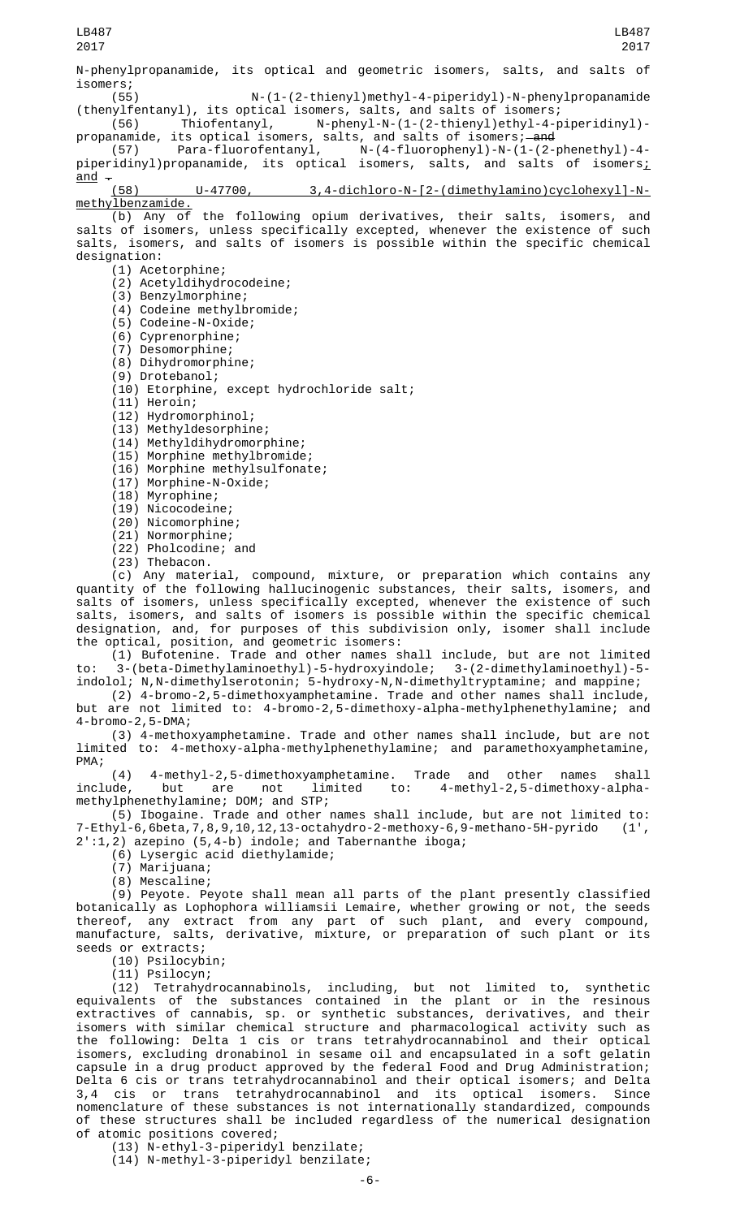N-phenylpropanamide, its optical and geometric isomers, salts, and salts of isomers;<br>(55)

N-(1-(2-thienyl)methyl-4-piperidyl)-N-phenylpropanamide (thenylfentanyl), its optical isomers, salts, and salts of isomers;<br>(56) Thiofentanyl, N-phenyl-N-(1-(2-thienyl)ethyl-4-p

(56) Thiofentanyl, N-phenyl-N-(1-(2-thienyl)ethyl-4-piperidinyl) propanamide, its optical isomers, salts, and salts of isomers;—<del>and</del>

(57) Para-fluorofentanyl, N-(4-fluorophenyl)-N-(1-(2-phenethyl)-4 piperidinyl)propanamide, its optical isomers, salts, and salts of isomers;

 $\frac{\text{and}}{\text{...}}$  (58) U-47700, 3,4-dichloro-N-[2-(dimethylamino)cyclohexyl]-Nmethylbenzamide.

(b) Any of the following opium derivatives, their salts, isomers, and salts of isomers, unless specifically excepted, whenever the existence of such salts, isomers, and salts of isomers is possible within the specific chemical designation:

(1) Acetorphine;

- (2) Acetyldihydrocodeine; (3) Benzylmorphine;
- (4) Codeine methylbromide;
- (5) Codeine-N-Oxide;
- (6) Cyprenorphine;
- (7) Desomorphine;
- (8) Dihydromorphine;
- (9) Drotebanol;
- (10) Etorphine, except hydrochloride salt;
- $(11)$  Heroin;
- (12) Hydromorphinol;
- (13) Methyldesorphine;
- (14) Methyldihydromorphine;
- (15) Morphine methylbromide;
- (16) Morphine methylsulfonate;
- (17) Morphine-N-Oxide;
- (18) Myrophine;
- (19) Nicocodeine;
- (20) Nicomorphine;
- (21) Normorphine;
- (22) Pholcodine; and
- (23) Thebacon.

(c) Any material, compound, mixture, or preparation which contains any quantity of the following hallucinogenic substances, their salts, isomers, and salts of isomers, unless specifically excepted, whenever the existence of such salts, isomers, and salts of isomers is possible within the specific chemical designation, and, for purposes of this subdivision only, isomer shall include the optical, position, and geometric isomers:

(1) Bufotenine. Trade and other names shall include, but are not limited to: 3-(beta-Dimethylaminoethyl)-5-hydroxyindole; 3-(2-dimethylaminoethyl)-5 indolol; N,N-dimethylserotonin; 5-hydroxy-N,N-dimethyltryptamine; and mappine;

(2) 4-bromo-2,5-dimethoxyamphetamine. Trade and other names shall include,

but are not limited to: 4-bromo-2,5-dimethoxy-alpha-methylphenethylamine; and 4-bromo-2,5-DMA;

(3) 4-methoxyamphetamine. Trade and other names shall include, but are not limited to: 4-methoxy-alpha-methylphenethylamine; and paramethoxyamphetamine, PMA;

(4) 4-methyl-2,5-dimethoxyamphetamine. Trade and other names shall<br>include, but are not limited to: 4-methyl-2,5-dimethoxy-alpha-4-methyl-2,5-dimethoxy-alphamethylphenethylamine; DOM; and STP;

(5) Ibogaine. Trade and other names shall include, but are not limited to: 7-Ethyl-6,6beta,7,8,9,10,12,13-octahydro-2-methoxy-6,9-methano-5H-pyrido (1', 2':1,2) azepino (5,4-b) indole; and Tabernanthe iboga;

(6) Lysergic acid diethylamide;

(7) Marijuana;

(8) Mescaline;

(9) Peyote. Peyote shall mean all parts of the plant presently classified botanically as Lophophora williamsii Lemaire, whether growing or not, the seeds thereof, any extract from any part of such plant, and every compound, manufacture, salts, derivative, mixture, or preparation of such plant or its seeds or extracts;

(10) Psilocybin;

(11) Psilocyn;

(12) Tetrahydrocannabinols, including, but not limited to, synthetic equivalents of the substances contained in the plant or in the resinous extractives of cannabis, sp. or synthetic substances, derivatives, and their isomers with similar chemical structure and pharmacological activity such as the following: Delta 1 cis or trans tetrahydrocannabinol and their optical isomers, excluding dronabinol in sesame oil and encapsulated in a soft gelatin capsule in a drug product approved by the federal Food and Drug Administration; Delta 6 cis or trans tetrahydrocannabinol and their optical isomers; and Delta 3,4 cis or trans tetrahydrocannabinol and its optical isomers. Since nomenclature of these substances is not internationally standardized, compounds of these structures shall be included regardless of the numerical designation of atomic positions covered;

(13) N-ethyl-3-piperidyl benzilate; (14) N-methyl-3-piperidyl benzilate;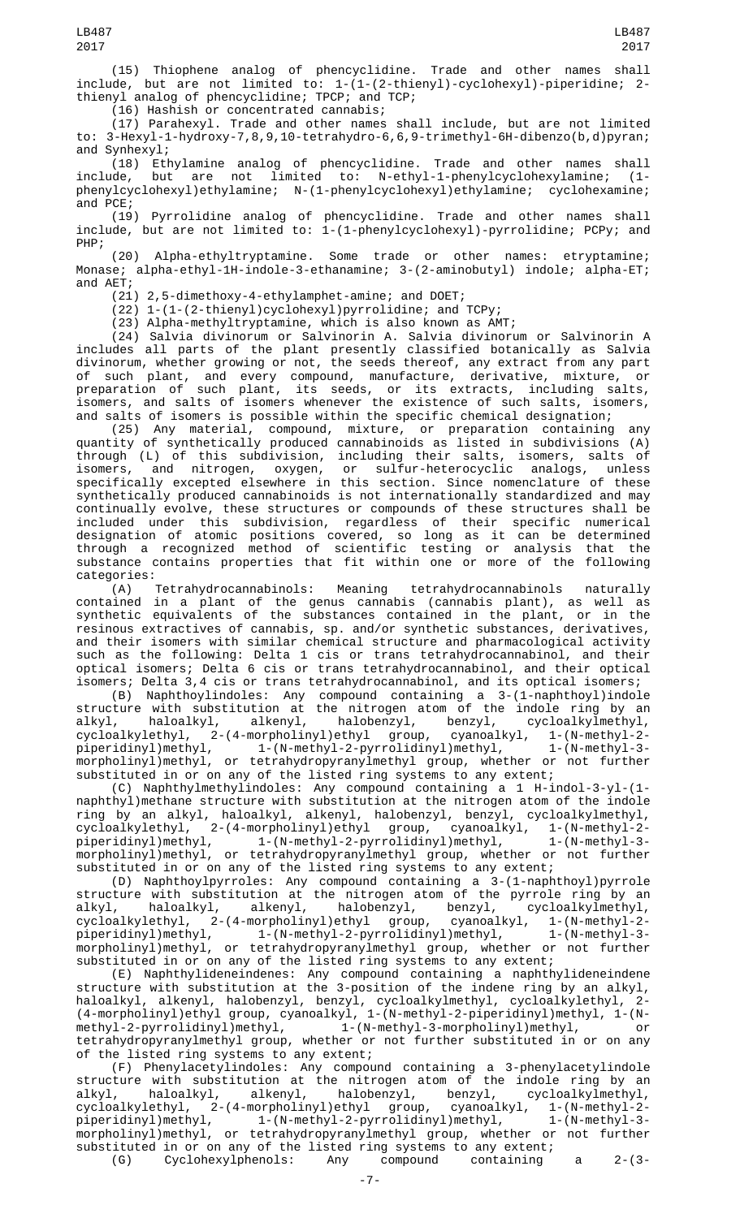(15) Thiophene analog of phencyclidine. Trade and other names shall include, but are not limited to: 1-(1-(2-thienyl)-cyclohexyl)-piperidine; 2 thienyl analog of phencyclidine; TPCP; and TCP;

(16) Hashish or concentrated cannabis;

(17) Parahexyl. Trade and other names shall include, but are not limited to: 3-Hexyl-1-hydroxy-7,8,9,10-tetrahydro-6,6,9-trimethyl-6H-dibenzo(b,d)pyran; and Synhexyl;

(18) Ethylamine analog of phencyclidine. Trade and other names shall include, but are not limited to: N-ethyl-1-phenylcyclohexylamine; (1 phenylcyclohexyl)ethylamine; N-(1-phenylcyclohexyl)ethylamine; cyclohexamine; and PCE;

(19) Pyrrolidine analog of phencyclidine. Trade and other names shall include, but are not limited to: 1-(1-phenylcyclohexyl)-pyrrolidine; PCPy; and PHP;

(20) Alpha-ethyltryptamine. Some trade or other names: etryptamine; Monase; alpha-ethyl-1H-indole-3-ethanamine; 3-(2-aminobutyl) indole; alpha-ET; and AET;

(21) 2,5-dimethoxy-4-ethylamphet-amine; and DOET;

(22) 1-(1-(2-thienyl)cyclohexyl)pyrrolidine; and TCPy;

(23) Alpha-methyltryptamine, which is also known as AMT;

(24) Salvia divinorum or Salvinorin A. Salvia divinorum or Salvinorin A includes all parts of the plant presently classified botanically as Salvia divinorum, whether growing or not, the seeds thereof, any extract from any part of such plant, and every compound, manufacture, derivative, mixture, or preparation of such plant, its seeds, or its extracts, including salts, isomers, and salts of isomers whenever the existence of such salts, isomers, and salts of isomers is possible within the specific chemical designation;

(25) Any material, compound, mixture, or preparation containing any quantity of synthetically produced cannabinoids as listed in subdivisions (A) through (L) of this subdivision, including their salts, isomers, salts of isomers, and nitrogen, oxygen, or sulfur-heterocyclic analogs, unless specifically excepted elsewhere in this section. Since nomenclature of these synthetically produced cannabinoids is not internationally standardized and may continually evolve, these structures or compounds of these structures shall be included under this subdivision, regardless of their specific numerical designation of atomic positions covered, so long as it can be determined through a recognized method of scientific testing or analysis that the substance contains properties that fit within one or more of the following

categories:<br>(A) Tetrahydrocannabinols: (A) Tetrahydrocannabinols: Meaning tetrahydrocannabinols naturally contained in a plant of the genus cannabis (cannabis plant), as well as synthetic equivalents of the substances contained in the plant, or in the resinous extractives of cannabis, sp. and/or synthetic substances, derivatives, and their isomers with similar chemical structure and pharmacological activity such as the following: Delta 1 cis or trans tetrahydrocannabinol, and their optical isomers; Delta 6 cis or trans tetrahydrocannabinol, and their optical isomers; Delta 3,4 cis or trans tetrahydrocannabinol, and its optical isomers;

(B) Naphthoylindoles: Any compound containing a 3-(1-naphthoyl)indole structure with substitution at the nitrogen atom of the indole ring by an alkyl, haloalkyl, alkenyl, halobenzyl, benzyl, cycloalkylmethyl, cycloalkylethyl, 2-(4-morpholinyl)ethyl group, cyanoalkyl, 1-(N-methyl-2 piperidinyl)methyl, 1-(N-methyl-2-pyrrolidinyl)methyl, 1-(N-methyl-3 morpholinyl)methyl, or tetrahydropyranylmethyl group, whether or not further substituted in or on any of the listed ring systems to any extent;

(C) Naphthylmethylindoles: Any compound containing a 1 H-indol-3-yl-(1 naphthyl)methane structure with substitution at the nitrogen atom of the indole ring by an alkyl, haloalkyl, alkenyl, halobenzyl, benzyl, cycloalkylmethyl, cycloalkylethyl, 2-(4-morpholinyl)ethyl group, cyanoalkyl, 1-(N-methyl-2 piperidinyl)methyl, 1-(N-methyl-2-pyrrolidinyl)methyl, 1-(N-methyl-3 morpholinyl)methyl, or tetrahydropyranylmethyl group, whether or not further substituted in or on any of the listed ring systems to any extent;

(D) Naphthoylpyrroles: Any compound containing a 3-(1-naphthoyl)pyrrole structure with substitution at the nitrogen atom of the pyrrole ring by an alkyl, haloalkyl, alkenyl, halobenzyl, benzyl, cycloalkylmethyl, cycloalkylethyl, 2-(4-morpholinyl)ethyl group, cyanoalkyl, 1-(N-methyl-2 piperidinyl)methyl, 1-(N-methyl-2-pyrrolidinyl)methyl, 1-(N-methyl-3 morpholinyl)methyl, or tetrahydropyranylmethyl group, whether or not further substituted in or on any of the listed ring systems to any extent;

(E) Naphthylideneindenes: Any compound containing a naphthylideneindene structure with substitution at the 3-position of the indene ring by an alkyl, haloalkyl, alkenyl, halobenzyl, benzyl, cycloalkylmethyl, cycloalkylethyl, 2- (4-morpholinyl)ethyl group, cyanoalkyl, 1-(N-methyl-2-piperidinyl)methyl, 1-(Nmethyl-2-pyrrolidinyl)methyl, 1-(N-methyl-3-morpholinyl)methyl, or tetrahydropyranylmethyl group, whether or not further substituted in or on any of the listed ring systems to any extent;

(F) Phenylacetylindoles: Any compound containing a 3-phenylacetylindole structure with substitution at the nitrogen atom of the indole ring by an alkyl, haloalkyl, alkenyl, halobenzyl, benzyl, cycloalkylmethyl, cycloalkylethyl, 2-(4-morpholinyl)ethyl group, cyanoalkyl, 1-(N-methyl-2 piperidinyl)methyl, 1-(N-methyl-2-pyrrolidinyl)methyl, 1-(N-methyl-3 morpholinyl)methyl, or tetrahydropyranylmethyl group, whether or not further substituted in or on any of the listed ring systems to any extent;<br>(G) Cyclohexylphenols: Any compound containing (G) Cyclohexylphenols: Any compound containing a 2-(3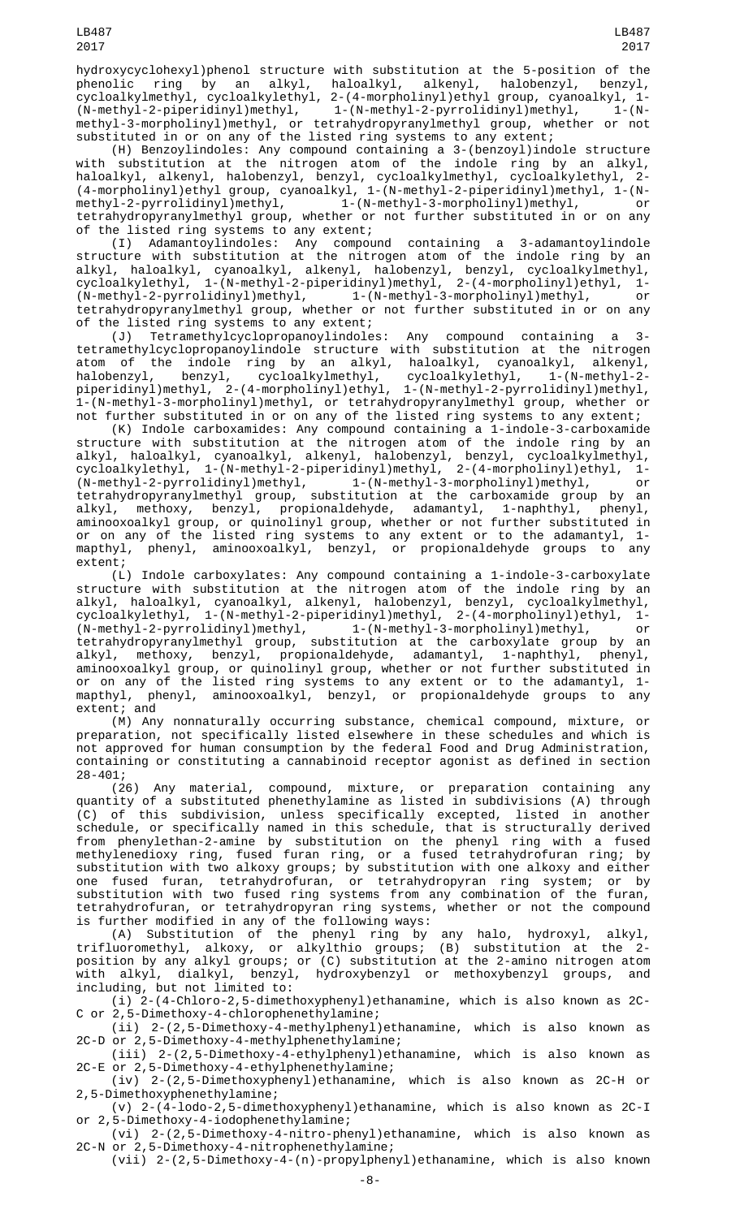hydroxycyclohexyl)phenol structure with substitution at the 5-position of the phenolic ring by an alkyl, haloalkyl, alkenyl, halobenzyl, benzyl, cycloalkylmethyl, cycloalkylethyl, 2-(4-morpholinyl)ethyl group, cyanoalkyl, 1- (N-methyl-2-piperidinyl)methyl, 1-(N-methyl-2-pyrrolidinyl)methyl, 1-(Nmethyl-3-morpholinyl)methyl, or tetrahydropyranylmethyl group, whether or not substituted in or on any of the listed ring systems to any extent;

(H) Benzoylindoles: Any compound containing a 3-(benzoyl)indole structure with substitution at the nitrogen atom of the indole ring by an alkyl, haloalkyl, alkenyl, halobenzyl, benzyl, cycloalkylmethyl, cycloalkylethyl, 2- (4-morpholinyl)ethyl group, cyanoalkyl, 1-(N-methyl-2-piperidinyl)methyl, 1-(Nmethyl-2-pyrrolidinyl)methyl, 1-(N-methyl-3-morpholinyl)methyl, or tetrahydropyranylmethyl group, whether or not further substituted in or on any of the listed ring systems to any extent;

(I) Adamantoylindoles: Any compound containing a 3-adamantoylindole structure with substitution at the nitrogen atom of the indole ring by an alkyl, haloalkyl, cyanoalkyl, alkenyl, halobenzyl, benzyl, cycloalkylmethyl, cycloalkylethyl, 1-(N-methyl-2-piperidinyl)methyl, 2-(4-morpholinyl)ethyl, 1- (N-methyl-2-pyrrolidinyl)methyl, 1-(N-methyl-3-morpholinyl)methyl, or tetrahydropyranylmethyl group, whether or not further substituted in or on any of the listed ring systems to any extent;

(J) Tetramethylcyclopropanoylindoles: Any compound containing a 3 tetramethylcyclopropanoylindole structure with substitution at the nitrogen atom of the indole ring by an alkyl, haloalkyl, cyanoalkyl, alkenyl, halobenzyl, benzyl, cycloalkylmethyl, cycloalkylethyl, 1-(N-methyl-2 piperidinyl)methyl, 2-(4-morpholinyl)ethyl, 1-(N-methyl-2-pyrrolidinyl)methyl, 1-(N-methyl-3-morpholinyl)methyl, or tetrahydropyranylmethyl group, whether or not further substituted in or on any of the listed ring systems to any extent;

(K) Indole carboxamides: Any compound containing a 1-indole-3-carboxamide structure with substitution at the nitrogen atom of the indole ring by an alkyl, haloalkyl, cyanoalkyl, alkenyl, halobenzyl, benzyl, cycloalkylmethyl, cycloalkylethyl, 1-(N-methyl-2-piperidinyl)methyl, 2-(4-morpholinyl)ethyl, 1- (N-methyl-2-pyrrolidinyl)methyl, 1-(N-methyl-3-morpholinyl)methyl, or tetrahydropyranylmethyl group, substitution at the carboxamide group by an alkyl, methoxy, benzyl, propionaldehyde, adamantyl, 1-naphthyl, phenyl, aminooxoalkyl group, or quinolinyl group, whether or not further substituted in or on any of the listed ring systems to any extent or to the adamantyl, 1 mapthyl, phenyl, aminooxoalkyl, benzyl, or propionaldehyde groups to any extent;

(L) Indole carboxylates: Any compound containing a 1-indole-3-carboxylate structure with substitution at the nitrogen atom of the indole ring by an alkyl, haloalkyl, cyanoalkyl, alkenyl, halobenzyl, benzyl, cycloalkylmethyl, cycloalkylethyl, 1-(N-methyl-2-piperidinyl)methyl, 2-(4-morpholinyl)ethyl, 1- (N-methyl-2-pyrrolidinyl)methyl, 1-(N-methyl-3-morpholinyl)methyl, or tetrahydropyranylmethyl group, substitution at the carboxylate group by an alkyl, methoxy, benzyl, propionaldehyde, adamantyl, 1-naphthyl, phenyl, aminooxoalkyl group, or quinolinyl group, whether or not further substituted in or on any of the listed ring systems to any extent or to the adamantyl, 1 mapthyl, phenyl, aminooxoalkyl, benzyl, or propionaldehyde groups to any extent; and

(M) Any nonnaturally occurring substance, chemical compound, mixture, or preparation, not specifically listed elsewhere in these schedules and which is not approved for human consumption by the federal Food and Drug Administration, containing or constituting a cannabinoid receptor agonist as defined in section 28-401;

(26) Any material, compound, mixture, or preparation containing any quantity of a substituted phenethylamine as listed in subdivisions (A) through (C) of this subdivision, unless specifically excepted, listed in another schedule, or specifically named in this schedule, that is structurally derived from phenylethan-2-amine by substitution on the phenyl ring with a fused methylenedioxy ring, fused furan ring, or a fused tetrahydrofuran ring; by substitution with two alkoxy groups; by substitution with one alkoxy and either one fused furan, tetrahydrofuran, or tetrahydropyran ring system; or by substitution with two fused ring systems from any combination of the furan, tetrahydrofuran, or tetrahydropyran ring systems, whether or not the compound is further modified in any of the following ways:

(A) Substitution of the phenyl ring by any halo, hydroxyl, alkyl, trifluoromethyl, alkoxy, or alkylthio groups; (B) substitution at the 2 position by any alkyl groups; or (C) substitution at the 2-amino nitrogen atom with alkyl, dialkyl, benzyl, hydroxybenzyl or methoxybenzyl groups, and including, but not limited to:

(i) 2-(4-Chloro-2,5-dimethoxyphenyl)ethanamine, which is also known as 2C-C or 2,5-Dimethoxy-4-chlorophenethylamine;

(ii) 2-(2,5-Dimethoxy-4-methylphenyl)ethanamine, which is also known as 2C-D or 2,5-Dimethoxy-4-methylphenethylamine;

(iii) 2-(2,5-Dimethoxy-4-ethylphenyl)ethanamine, which is also known as 2C-E or 2,5-Dimethoxy-4-ethylphenethylamine;

- (iv) 2-(2,5-Dimethoxyphenyl)ethanamine, which is also known as 2C-H or 2,5-Dimethoxyphenethylamine;
- (v) 2-(4-lodo-2,5-dimethoxyphenyl)ethanamine, which is also known as 2C-I or 2,5-Dimethoxy-4-iodophenethylamine;

(vi) 2-(2,5-Dimethoxy-4-nitro-phenyl)ethanamine, which is also known as 2C-N or 2,5-Dimethoxy-4-nitrophenethylamine;

(vii) 2-(2,5-Dimethoxy-4-(n)-propylphenyl)ethanamine, which is also known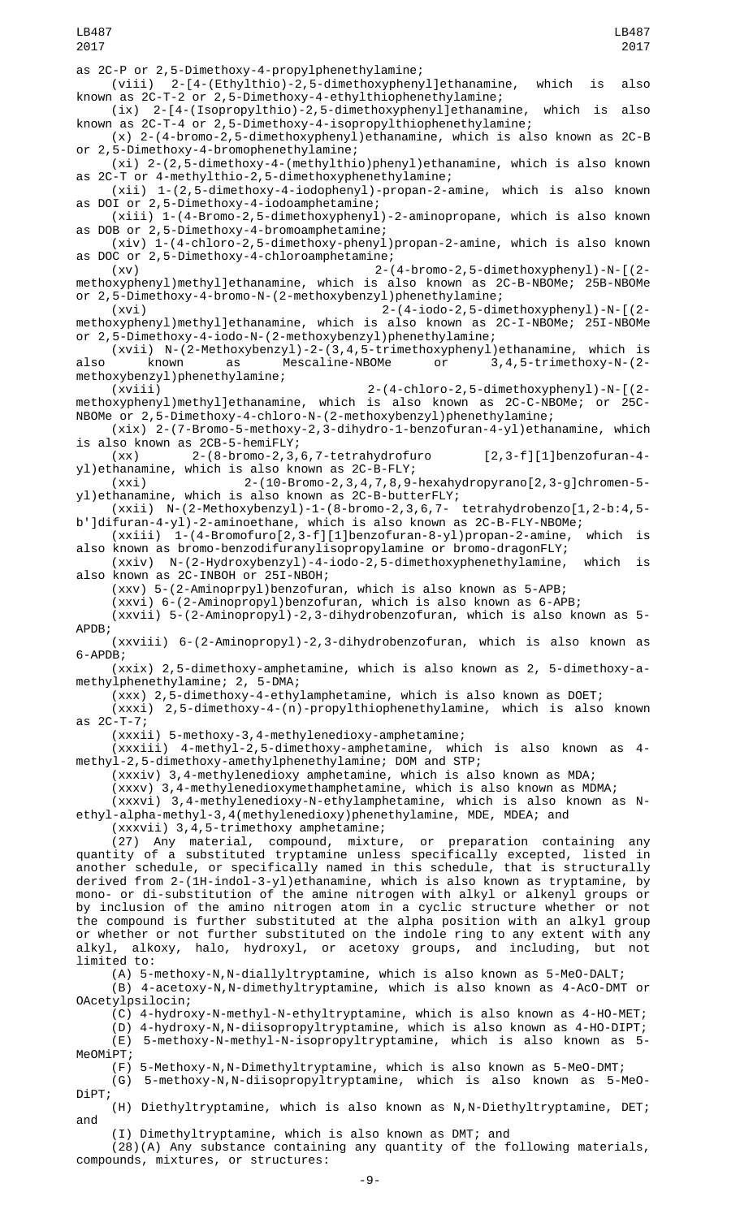as 2C-P or 2,5-Dimethoxy-4-propylphenethylamine;

LB487 2017

(viii) 2-[4-(Ethylthio)-2,5-dimethoxyphenyl]ethanamine, which is also known as 2C-T-2 or 2,5-Dimethoxy-4-ethylthiophenethylamine;

(ix) 2-[4-(Isopropylthio)-2,5-dimethoxyphenyl]ethanamine, which is also known as 2C-T-4 or 2,5-Dimethoxy-4-isopropylthiophenethylamine;

(x) 2-(4-bromo-2,5-dimethoxyphenyl)ethanamine, which is also known as 2C-B or 2,5-Dimethoxy-4-bromophenethylamine;

(xi) 2-(2,5-dimethoxy-4-(methylthio)phenyl)ethanamine, which is also known as 2C-T or 4-methylthio-2,5-dimethoxyphenethylamine;

(xii) 1-(2,5-dimethoxy-4-iodophenyl)-propan-2-amine, which is also known as DOI or 2,5-Dimethoxy-4-iodoamphetamine;

(xiii) 1-(4-Bromo-2,5-dimethoxyphenyl)-2-aminopropane, which is also known as DOB or 2,5-Dimethoxy-4-bromoamphetamine;

(xiv) 1-(4-chloro-2,5-dimethoxy-phenyl)propan-2-amine, which is also known as DOC or 2,5-Dimethoxy-4-chloroamphetamine;

(xv) 2-(4-bromo-2,5-dimethoxyphenyl)-N-[(2 methoxyphenyl)methyl]ethanamine, which is also known as 2C-B-NBOMe; 25B-NBOMe or 2,5-Dimethoxy-4-bromo-N-(2-methoxybenzyl)phenethylamine;

(xvi) 2-(4-iodo-2,5-dimethoxyphenyl)-N-[(2 methoxyphenyl)methyl]ethanamine, which is also known as 2C-I-NBOMe; 25I-NBOMe or 2,5-Dimethoxy-4-iodo-N-(2-methoxybenzyl)phenethylamine;

(xvii) N-(2-Methoxybenzyl)-2-(3,4,5-trimethoxyphenyl)ethanamine, which is also known as Mescaline-NBOMe or 3,4,5-trimethoxy-N-(2-

methoxybenzyl)phenethylamine; (xviii) 2-(4-chloro-2,5-dimethoxyphenyl)-N-[(2 methoxyphenyl)methyl]ethanamine, which is also known as 2C-C-NBOMe; or 25C-NBOMe or 2,5-Dimethoxy-4-chloro-N-(2-methoxybenzyl)phenethylamine;

(xix) 2-(7-Bromo-5-methoxy-2,3-dihydro-1-benzofuran-4-yl)ethanamine, which is also known as 2CB-5-hemiFLY;

(xx) 2-(8-bromo-2,3,6,7-tetrahydrofuro [2,3-f][1]benzofuran-4 yl)ethanamine, which is also known as 2C-B-FLY;

(xxi) 2-(10-Bromo-2,3,4,7,8,9-hexahydropyrano[2,3-g]chromen-5 yl)ethanamine, which is also known as 2C-B-butterFLY;

(xxii) N-(2-Methoxybenzyl)-1-(8-bromo-2,3,6,7- tetrahydrobenzo[1,2-b:4,5 b']difuran-4-yl)-2-aminoethane, which is also known as 2C-B-FLY-NBOMe;

(xxiii) 1-(4-Bromofuro[2,3-f][1]benzofuran-8-yl)propan-2-amine, which is also known as bromo-benzodifuranylisopropylamine or bromo-dragonFLY;

(xxiv) N-(2-Hydroxybenzyl)-4-iodo-2,5-dimethoxyphenethylamine, which is also known as 2C-INBOH or 25I-NBOH;

(xxv) 5-(2-Aminoprpyl)benzofuran, which is also known as 5-APB;

(xxvi) 6-(2-Aminopropyl)benzofuran, which is also known as 6-APB;

(xxvii) 5-(2-Aminopropyl)-2,3-dihydrobenzofuran, which is also known as 5- APDB;

(xxviii) 6-(2-Aminopropyl)-2,3-dihydrobenzofuran, which is also known as 6-APDB;

(xxix) 2,5-dimethoxy-amphetamine, which is also known as 2, 5-dimethoxy-amethylphenethylamine; 2, 5-DMA;

(xxx) 2,5-dimethoxy-4-ethylamphetamine, which is also known as DOET;

(xxxi) 2,5-dimethoxy-4-(n)-propylthiophenethylamine, which is also known as 2C-T-7;

(xxxii) 5-methoxy-3,4-methylenedioxy-amphetamine;

(xxxiii) 4-methyl-2,5-dimethoxy-amphetamine, which is also known as 4 methyl-2,5-dimethoxy-amethylphenethylamine; DOM and STP;

(xxxiv) 3,4-methylenedioxy amphetamine, which is also known as MDA;

(xxxv) 3,4-methylenedioxymethamphetamine, which is also known as MDMA;

(xxxvi) 3,4-methylenedioxy-N-ethylamphetamine, which is also known as Nethyl-alpha-methyl-3,4(methylenedioxy)phenethylamine, MDE, MDEA; and

(xxxvii) 3,4,5-trimethoxy amphetamine;

(27) Any material, compound, mixture, or preparation containing any quantity of a substituted tryptamine unless specifically excepted, listed in another schedule, or specifically named in this schedule, that is structurally derived from 2-(1H-indol-3-yl)ethanamine, which is also known as tryptamine, by mono- or di-substitution of the amine nitrogen with alkyl or alkenyl groups or by inclusion of the amino nitrogen atom in a cyclic structure whether or not the compound is further substituted at the alpha position with an alkyl group or whether or not further substituted on the indole ring to any extent with any alkyl, alkoxy, halo, hydroxyl, or acetoxy groups, and including, but not limited to:

(A) 5-methoxy-N, N-diallyltryptamine, which is also known as 5-MeO-DALT;

(B) 4-acetoxy-N,N-dimethyltryptamine, which is also known as 4-AcO-DMT or OAcetylpsilocin;

(C) 4-hydroxy-N-methyl-N-ethyltryptamine, which is also known as 4-HO-MET;

(D) 4-hydroxy-N,N-diisopropyltryptamine, which is also known as 4-HO-DIPT; (E) 5-methoxy-N-methyl-N-isopropyltryptamine, which is also known as 5- MeOMiPT;

(F) 5-Methoxy-N,N-Dimethyltryptamine, which is also known as 5-MeO-DMT; (G) 5-methoxy-N,N-diisopropyltryptamine, which is also known as 5-MeO-DiPT;

(H) Diethyltryptamine, which is also known as N,N-Diethyltryptamine, DET; and

(I) Dimethyltryptamine, which is also known as DMT; and

(28)(A) Any substance containing any quantity of the following materials, compounds, mixtures, or structures: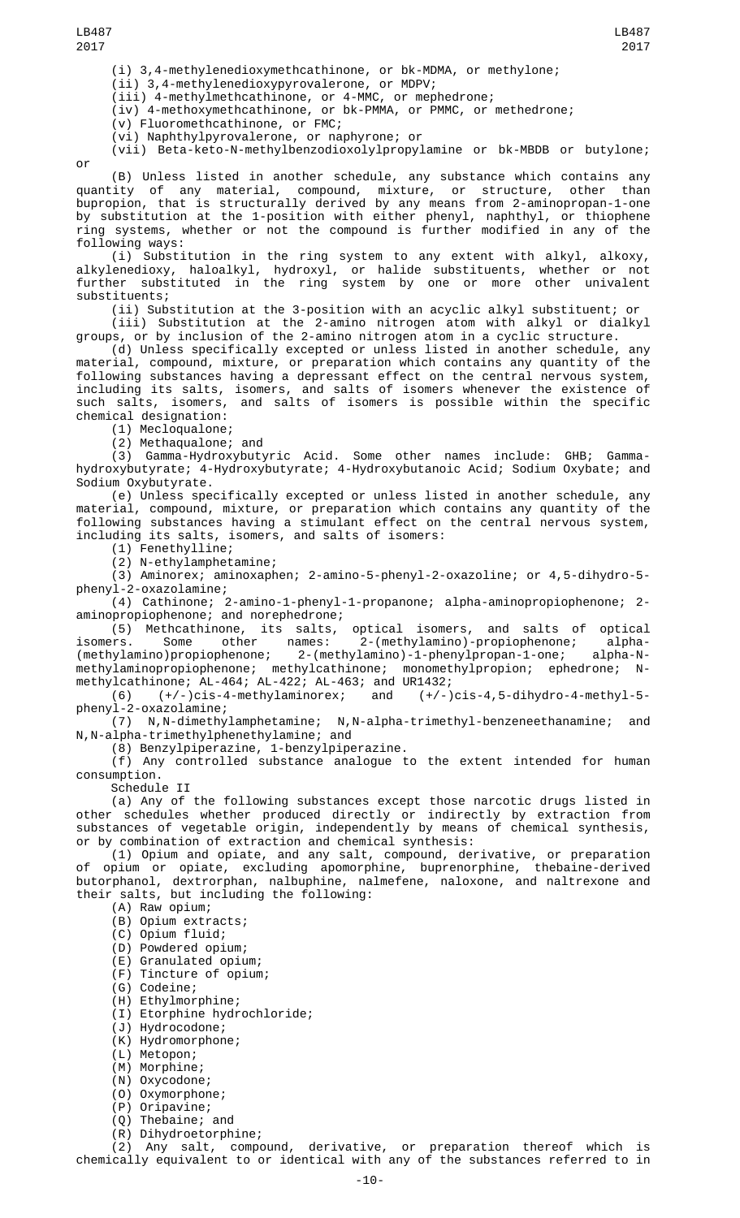(i) 3,4-methylenedioxymethcathinone, or bk-MDMA, or methylone;

(ii) 3,4-methylenedioxypyrovalerone, or MDPV;

(iii) 4-methylmethcathinone, or 4-MMC, or mephedrone;

(iv) 4-methoxymethcathinone, or bk-PMMA, or PMMC, or methedrone;

(v) Fluoromethcathinone, or FMC;

(vi) Naphthylpyrovalerone, or naphyrone; or

(vii) Beta-keto-N-methylbenzodioxolylpropylamine or bk-MBDB or butylone; or

LB487 2017

(B) Unless listed in another schedule, any substance which contains any quantity of any material, compound, mixture, or structure, other than bupropion, that is structurally derived by any means from 2-aminopropan-1-one by substitution at the 1-position with either phenyl, naphthyl, or thiophene ring systems, whether or not the compound is further modified in any of the following ways:

(i) Substitution in the ring system to any extent with alkyl, alkoxy, alkylenedioxy, haloalkyl, hydroxyl, or halide substituents, whether or not further substituted in the ring system by one or more other univalent substituents;

(ii) Substitution at the 3-position with an acyclic alkyl substituent; or (iii) Substitution at the 2-amino nitrogen atom with alkyl or dialkyl groups, or by inclusion of the 2-amino nitrogen atom in a cyclic structure.

(d) Unless specifically excepted or unless listed in another schedule, any material, compound, mixture, or preparation which contains any quantity of the following substances having a depressant effect on the central nervous system, including its salts, isomers, and salts of isomers whenever the existence of such salts, isomers, and salts of isomers is possible within the specific chemical designation:

(1) Mecloqualone;

(2) Methaqualone; and

(3) Gamma-Hydroxybutyric Acid. Some other names include: GHB; Gammahydroxybutyrate; 4-Hydroxybutyrate; 4-Hydroxybutanoic Acid; Sodium Oxybate; and Sodium Oxybutyrate.

(e) Unless specifically excepted or unless listed in another schedule, any material, compound, mixture, or preparation which contains any quantity of the following substances having a stimulant effect on the central nervous system, including its salts, isomers, and salts of isomers:

(1) Fenethylline;

(2) N-ethylamphetamine;

(3) Aminorex; aminoxaphen; 2-amino-5-phenyl-2-oxazoline; or 4,5-dihydro-5 phenyl-2-oxazolamine;

(4) Cathinone; 2-amino-1-phenyl-1-propanone; alpha-aminopropiophenone; 2 aminopropiophenone; and norephedrone;

(5) Methcathinone, its salts, optical isomers, and salts of optical isomers. Some other names: 2-(methylamino)-propiophenone; alpha- (methylamino)propiophenone; 2-(methylamino)-1-phenylpropan-1-one; alpha-Nmethylaminopropiophenone; methylcathinone; monomethylpropion; ephedrone; Nmethylcathinone; AL-464; AL-422; AL-463; and UR1432;

(6) (+/-)cis-4-methylaminorex; and (+/-)cis-4,5-dihydro-4-methyl-5 phenyl-2-oxazolamine;

(7) N,N-dimethylamphetamine; N,N-alpha-trimethyl-benzeneethanamine; and N,N-alpha-trimethylphenethylamine; and

(8) Benzylpiperazine, 1-benzylpiperazine.

(f) Any controlled substance analogue to the extent intended for human consumption.

Schedule II

(a) Any of the following substances except those narcotic drugs listed in other schedules whether produced directly or indirectly by extraction from substances of vegetable origin, independently by means of chemical synthesis, or by combination of extraction and chemical synthesis:

(1) Opium and opiate, and any salt, compound, derivative, or preparation of opium or opiate, excluding apomorphine, buprenorphine, thebaine-derived butorphanol, dextrorphan, nalbuphine, nalmefene, naloxone, and naltrexone and their salts, but including the following:

(A) Raw opium;

- (B) Opium extracts;
- (C) Opium fluid;
- (D) Powdered opium;
- (E) Granulated opium;
- (F) Tincture of opium;
- (G) Codeine;
- (H) Ethylmorphine;
- (I) Etorphine hydrochloride;
- (J) Hydrocodone;
- (K) Hydromorphone;
- (L) Metopon;
- (M) Morphine;
- (N) Oxycodone;
- (O) Oxymorphone;
- 
- (P) Oripavine; Thebaine; and
- (R) Dihydroetorphine;

(2) Any salt, compound, derivative, or preparation thereof which is chemically equivalent to or identical with any of the substances referred to in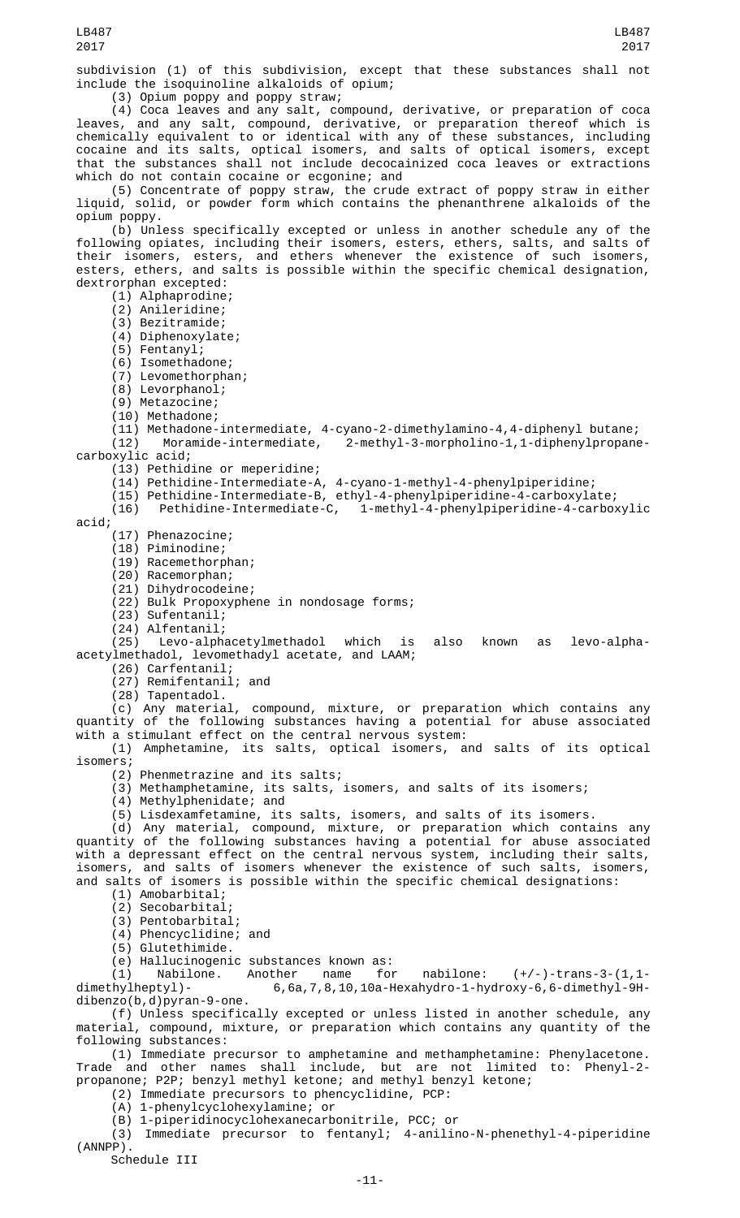subdivision (1) of this subdivision, except that these substances shall not include the isoquinoline alkaloids of opium;

(3) Opium poppy and poppy straw;

(4) Coca leaves and any salt, compound, derivative, or preparation of coca leaves, and any salt, compound, derivative, or preparation thereof which is chemically equivalent to or identical with any of these substances, including cocaine and its salts, optical isomers, and salts of optical isomers, except that the substances shall not include decocainized coca leaves or extractions which do not contain cocaine or ecgonine; and

(5) Concentrate of poppy straw, the crude extract of poppy straw in either liquid, solid, or powder form which contains the phenanthrene alkaloids of the opium poppy.

(b) Unless specifically excepted or unless in another schedule any of the following opiates, including their isomers, esters, ethers, salts, and salts of their isomers, esters, and ethers whenever the existence of such isomers, esters, ethers, and salts is possible within the specific chemical designation, dextrorphan excepted:

(1) Alphaprodine;

(2) Anileridine;

(3) Bezitramide;

(4) Diphenoxylate;

(5) Fentanyl;

(6) Isomethadone;

(7) Levomethorphan;

(8) Levorphanol;

(9) Metazocine;

(10) Methadone;

(11) Methadone-intermediate, 4-cyano-2-dimethylamino-4,4-diphenyl butane; 2-methyl-3-morpholino-1,1-diphenylpropanecarboxylic acid;

(13) Pethidine or meperidine;

(14) Pethidine-Intermediate-A, 4-cyano-1-methyl-4-phenylpiperidine;

(15) Pethidine-Intermediate-B, ethyl-4-phenylpiperidine-4-carboxylate;

(16) Pethidine-Intermediate-C, 1-methyl-4-phenylpiperidine-4-carboxylic

acid;

(17) Phenazocine;

(18) Piminodine;

(19) Racemethorphan;

(20) Racemorphan;

(21) Dihydrocodeine;

(22) Bulk Propoxyphene in nondosage forms;

(23) Sufentanil;

(24) Alfentanil;

(25) Levo-alphacetylmethadol which is also known as levo-alphaacetylmethadol, levomethadyl acetate, and LAAM;

(26) Carfentanil;

(27) Remifentanil; and

(28) Tapentadol.

(c) Any material, compound, mixture, or preparation which contains any quantity of the following substances having a potential for abuse associated with a stimulant effect on the central nervous system:

(1) Amphetamine, its salts, optical isomers, and salts of its optical isomers;

(2) Phenmetrazine and its salts;

(3) Methamphetamine, its salts, isomers, and salts of its isomers;

(4) Methylphenidate; and

(5) Lisdexamfetamine, its salts, isomers, and salts of its isomers.

(d) Any material, compound, mixture, or preparation which contains any quantity of the following substances having a potential for abuse associated with a depressant effect on the central nervous system, including their salts, isomers, and salts of isomers whenever the existence of such salts, isomers, and salts of isomers is possible within the specific chemical designations:

(1) Amobarbital;

(2) Secobarbital; (3) Pentobarbital;

(4) Phencyclidine; and

(5) Glutethimide.

(e) Hallucinogenic substances known as: (1) Nabilone. Another name for nabilone:  $(+/-)$ -trans-3-(1,1-dimethylheptyl)- 6,6a,7,8,10,10a-Hexahydro-1-hydroxy-6,6-dimethyl-9H- $6,6a,7,8,10,10a$ -Hexahydro-1-hydroxy-6,6-dimethyl-9H-

dibenzo(b,d)pyran-9-one. (f) Unless specifically excepted or unless listed in another schedule, any material, compound, mixture, or preparation which contains any quantity of the following substances:

(1) Immediate precursor to amphetamine and methamphetamine: Phenylacetone. Trade and other names shall include, but are not limited to: Phenyl-2 propanone; P2P; benzyl methyl ketone; and methyl benzyl ketone;

(2) Immediate precursors to phencyclidine, PCP:

(A) 1-phenylcyclohexylamine; or

(B) 1-piperidinocyclohexanecarbonitrile, PCC; or

(3) Immediate precursor to fentanyl; 4-anilino-N-phenethyl-4-piperidine (ANNPP).

Schedule III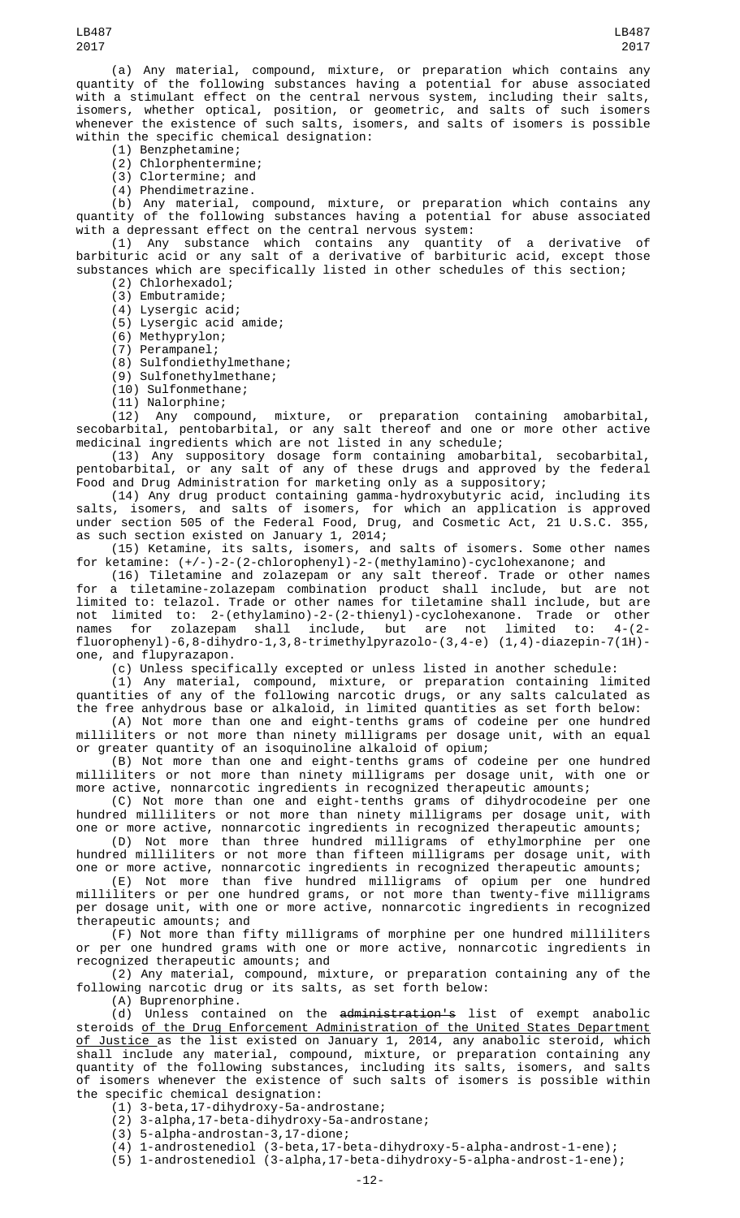(a) Any material, compound, mixture, or preparation which contains any quantity of the following substances having a potential for abuse associated with a stimulant effect on the central nervous system, including their salts, isomers, whether optical, position, or geometric, and salts of such isomers whenever the existence of such salts, isomers, and salts of isomers is possible within the specific chemical designation:

(1) Benzphetamine;

(2) Chlorphentermine;

(3) Clortermine; and

(4) Phendimetrazine.

(b) Any material, compound, mixture, or preparation which contains any quantity of the following substances having a potential for abuse associated with a depressant effect on the central nervous system:

(1) Any substance which contains any quantity of a derivative of barbituric acid or any salt of a derivative of barbituric acid, except those substances which are specifically listed in other schedules of this section;

(2) Chlorhexadol;

(3) Embutramide;

(4) Lysergic acid;

(5) Lysergic acid amide;

(6) Methyprylon;

(7) Perampanel;

(8) Sulfondiethylmethane;

(9) Sulfonethylmethane;

(10) Sulfonmethane;

(11) Nalorphine;

(12) Any compound, mixture, or preparation containing amobarbital, secobarbital, pentobarbital, or any salt thereof and one or more other active medicinal ingredients which are not listed in any schedule;

(13) Any suppository dosage form containing amobarbital, secobarbital, pentobarbital, or any salt of any of these drugs and approved by the federal Food and Drug Administration for marketing only as a suppository;

(14) Any drug product containing gamma-hydroxybutyric acid, including its salts, isomers, and salts of isomers, for which an application is approved under section 505 of the Federal Food, Drug, and Cosmetic Act, 21 U.S.C. 355, as such section existed on January 1, 2014;

(15) Ketamine, its salts, isomers, and salts of isomers. Some other names for ketamine: (+/-)-2-(2-chlorophenyl)-2-(methylamino)-cyclohexanone; and

(16) Tiletamine and zolazepam or any salt thereof. Trade or other names for a tiletamine-zolazepam combination product shall include, but are not limited to: telazol. Trade or other names for tiletamine shall include, but are not limited to: 2-(ethylamino)-2-(2-thienyl)-cyclohexanone. Trade or other names for zolazepam shall include, but are not limited to: 4-(2 fluorophenyl)-6,8-dihydro-1,3,8-trimethylpyrazolo-(3,4-e)  $(1,4)$ -diazepin-7 $(1H)$ one, and flupyrazapon.

(c) Unless specifically excepted or unless listed in another schedule:

(1) Any material, compound, mixture, or preparation containing limited quantities of any of the following narcotic drugs, or any salts calculated as the free anhydrous base or alkaloid, in limited quantities as set forth below:

(A) Not more than one and eight-tenths grams of codeine per one hundred milliliters or not more than ninety milligrams per dosage unit, with an equal or greater quantity of an isoquinoline alkaloid of opium;

(B) Not more than one and eight-tenths grams of codeine per one hundred milliliters or not more than ninety milligrams per dosage unit, with one or more active, nonnarcotic ingredients in recognized therapeutic amounts;

(C) Not more than one and eight-tenths grams of dihydrocodeine per one hundred milliliters or not more than ninety milligrams per dosage unit, with one or more active, nonnarcotic ingredients in recognized therapeutic amounts;

(D) Not more than three hundred milligrams of ethylmorphine per one hundred milliliters or not more than fifteen milligrams per dosage unit, with one or more active, nonnarcotic ingredients in recognized therapeutic amounts;

(E) Not more than five hundred milligrams of opium per one hundred milliliters or per one hundred grams, or not more than twenty-five milligrams per dosage unit, with one or more active, nonnarcotic ingredients in recognized therapeutic amounts; and

(F) Not more than fifty milligrams of morphine per one hundred milliliters or per one hundred grams with one or more active, nonnarcotic ingredients in recognized therapeutic amounts; and

(2) Any material, compound, mixture, or preparation containing any of the following narcotic drug or its salts, as set forth below:

(A) Buprenorphine.

(d) Unless contained on the administration's list of exempt anabolic steroids of the Drug Enforcement Administration of the United States Department <u>of Justice a</u>s the list existed on January 1, 2014, any anabolic steroid, which shall include any material, compound, mixture, or preparation containing any quantity of the following substances, including its salts, isomers, and salts of isomers whenever the existence of such salts of isomers is possible within the specific chemical designation:

(1) 3-beta,17-dihydroxy-5a-androstane;

(2) 3-alpha,17-beta-dihydroxy-5a-androstane;

(3) 5-alpha-androstan-3,17-dione;

(4) 1-androstenediol (3-beta,17-beta-dihydroxy-5-alpha-androst-1-ene);

(5) 1-androstenediol (3-alpha,17-beta-dihydroxy-5-alpha-androst-1-ene);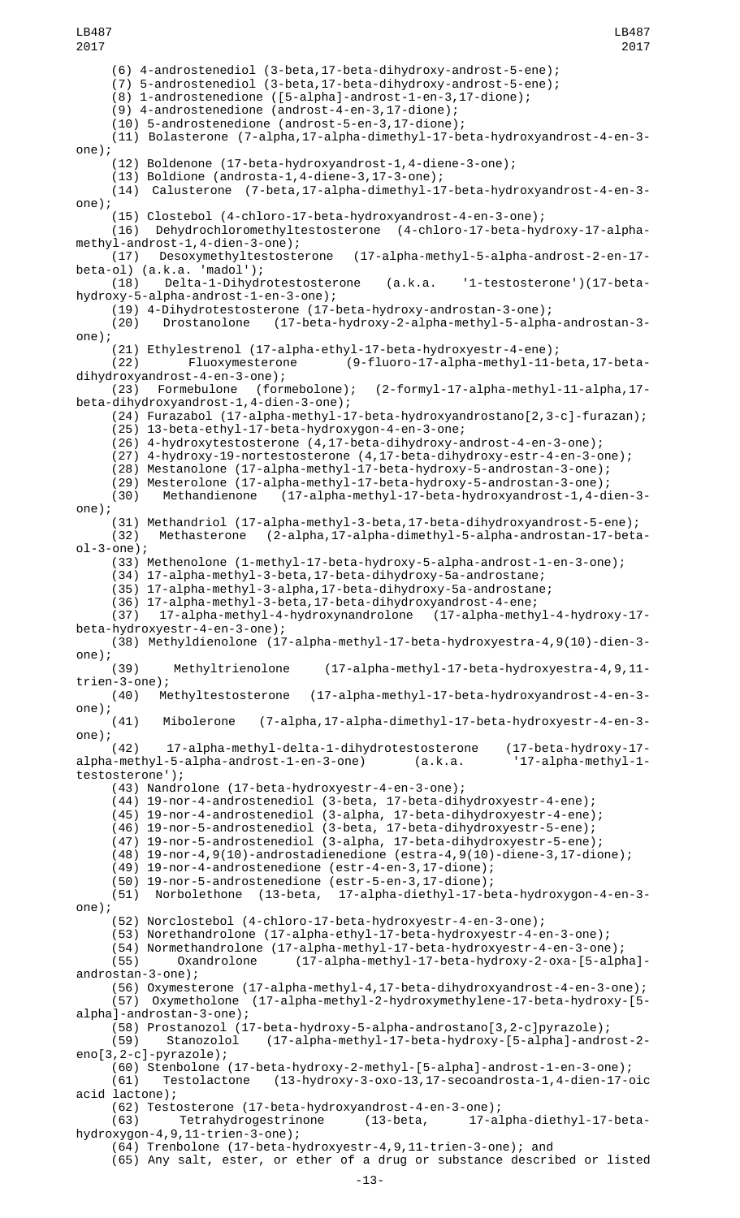(6) 4-androstenediol (3-beta,17-beta-dihydroxy-androst-5-ene); (7) 5-androstenediol (3-beta,17-beta-dihydroxy-androst-5-ene); (8) 1-androstenedione ([5-alpha]-androst-1-en-3,17-dione);  $(9)$  4-androstenedione  $($ androst-4-en-3,17-dione); (10) 5-androstenedione (androst-5-en-3,17-dione); (11) Bolasterone (7-alpha,17-alpha-dimethyl-17-beta-hydroxyandrost-4-en-3 one); (12) Boldenone (17-beta-hydroxyandrost-1,4-diene-3-one); (13) Boldione (androsta-1,4-diene-3,17-3-one); (14) Calusterone (7-beta,17-alpha-dimethyl-17-beta-hydroxyandrost-4-en-3 one); (15) Clostebol (4-chloro-17-beta-hydroxyandrost-4-en-3-one); (16) Dehydrochloromethyltestosterone (4-chloro-17-beta-hydroxy-17-alphamethyl-androst-1,4-dien-3-one);  $(17$ -alpha-methyl-5-alpha-androst-2-en-17-(17) Desoxymethyltestosterone<br>beta-ol) (a.k.a. 'madol'); (18) Delta-1-Dihydrotestosterone (a.k.a. '1-testosterone')(17-betahydroxy-5-alpha-androst-1-en-3-one); (19) 4-Dihydrotestosterone (17-beta-hydroxy-androstan-3-one); (20) Drostanolone (17-beta-hydroxy-2-alpha-methyl-5-alpha-androstan-3 one); (21) Ethylestrenol (17-alpha-ethyl-17-beta-hydroxyestr-4-ene); (22) Fluoxymesterone (9-fluoro-17-alpha-methyl-11-beta,17-betadihydroxyandrost-4-en-3-one);<br>(23) Formebulone (formebolone); (23) Formebulone (formebolone); (2-formyl-17-alpha-methyl-11-alpha,17 beta-dihydroxyandrost-1,4-dien-3-one); (24) Furazabol (17-alpha-methyl-17-beta-hydroxyandrostano[2,3-c]-furazan); (25) 13-beta-ethyl-17-beta-hydroxygon-4-en-3-one; (26) 4-hydroxytestosterone (4,17-beta-dihydroxy-androst-4-en-3-one); (27) 4-hydroxy-19-nortestosterone (4,17-beta-dihydroxy-estr-4-en-3-one); (28) Mestanolone (17-alpha-methyl-17-beta-hydroxy-5-androstan-3-one); (29) Mesterolone (17-alpha-methyl-17-beta-hydroxy-5-androstan-3-one); (30) Methandienone (17-alpha-methyl-17-beta-hydroxyandrost-1,4-dien-3 one); (31) Methandriol (17-alpha-methyl-3-beta,17-beta-dihydroxyandrost-5-ene); (32) Methasterone (2-alpha,17-alpha-dimethyl-5-alpha-androstan-17-betaol-3-one); (33) Methenolone (1-methyl-17-beta-hydroxy-5-alpha-androst-1-en-3-one); (34) 17-alpha-methyl-3-beta,17-beta-dihydroxy-5a-androstane; (35) 17-alpha-methyl-3-alpha,17-beta-dihydroxy-5a-androstane; (36) 17-alpha-methyl-3-beta,17-beta-dihydroxyandrost-4-ene; (37) 17-alpha-methyl-4-hydroxynandrolone (17-alpha-methyl-4-hydroxy-17 beta-hydroxyestr-4-en-3-one); (38) Methyldienolone (17-alpha-methyl-17-beta-hydroxyestra-4,9(10)-dien-3 one);<br>(39) (39) Methyltrienolone (17-alpha-methyl-17-beta-hydroxyestra-4,9,11 trien-3-one);<br>(40) Methyltestosterone (17-alpha-methyl-17-beta-hydroxyandrost-4-en-3one); (41) Mibolerone (7-alpha,17-alpha-dimethyl-17-beta-hydroxyestr-4-en-3 one); (42) 17-alpha-methyl-delta-1-dihydrotestosterone (17-beta-hydroxy-17 alpha-methyl-5-alpha-androst-1-en-3-one) (a.k.a. '17-alpha-methyl-1 testosterone'); (43) Nandrolone (17-beta-hydroxyestr-4-en-3-one); (44) 19-nor-4-androstenediol (3-beta, 17-beta-dihydroxyestr-4-ene); (45) 19-nor-4-androstenediol (3-alpha, 17-beta-dihydroxyestr-4-ene); (46) 19-nor-5-androstenediol (3-beta, 17-beta-dihydroxyestr-5-ene); (47) 19-nor-5-androstenediol (3-alpha, 17-beta-dihydroxyestr-5-ene);  $(48)$  19-nor-4,9(10)-androstadienedione (estra-4,9(10)-diene-3,17-dione); (49) 19-nor-4-androstenedione (estr-4-en-3,17-dione); (50) 19-nor-5-androstenedione (estr-5-en-3,17-dione);  $(13-beta, 17-alpha-diethyl-17-beta-hydroxygon-4-en-3$ one); (52) Norclostebol (4-chloro-17-beta-hydroxyestr-4-en-3-one); (53) Norethandrolone (17-alpha-ethyl-17-beta-hydroxyestr-4-en-3-one); (54) Normethandrolone (17-alpha-methyl-17-beta-hydroxyestr-4-en-3-one); (55) Oxandrolone (17-alpha-methyl-17-beta-hydroxy-2-oxa-[5-alpha] androstan-3-one); (56) Oxymesterone (17-alpha-methyl-4,17-beta-dihydroxyandrost-4-en-3-one); (57) Oxymetholone (17-alpha-methyl-2-hydroxymethylene-17-beta-hydroxy-[5 alpha]-androstan-3-one); (58) Prostanozol (17-beta-hydroxy-5-alpha-androstano[3,2-c]pyrazole); (59) Stanozolol (17-alpha-methyl-17-beta-hydroxy-[5-alpha]-androst-2 eno[3,2-c]-pyrazole); (60) Stenbolone (17-beta-hydroxy-2-methyl-[5-alpha]-androst-1-en-3-one); (61) Testolactone (13-hydroxy-3-oxo-13,17-secoandrosta-1,4-dien-17-oic acid lactone); (62) Testosterone (17-beta-hydroxyandrost-4-en-3-one); 17-alpha-diethyl-17-betahydroxygon-4,9,11-trien-3-one); (64) Trenbolone (17-beta-hydroxyestr-4,9,11-trien-3-one); and (65) Any salt, ester, or ether of a drug or substance described or listed LB487 2017 LB487 2017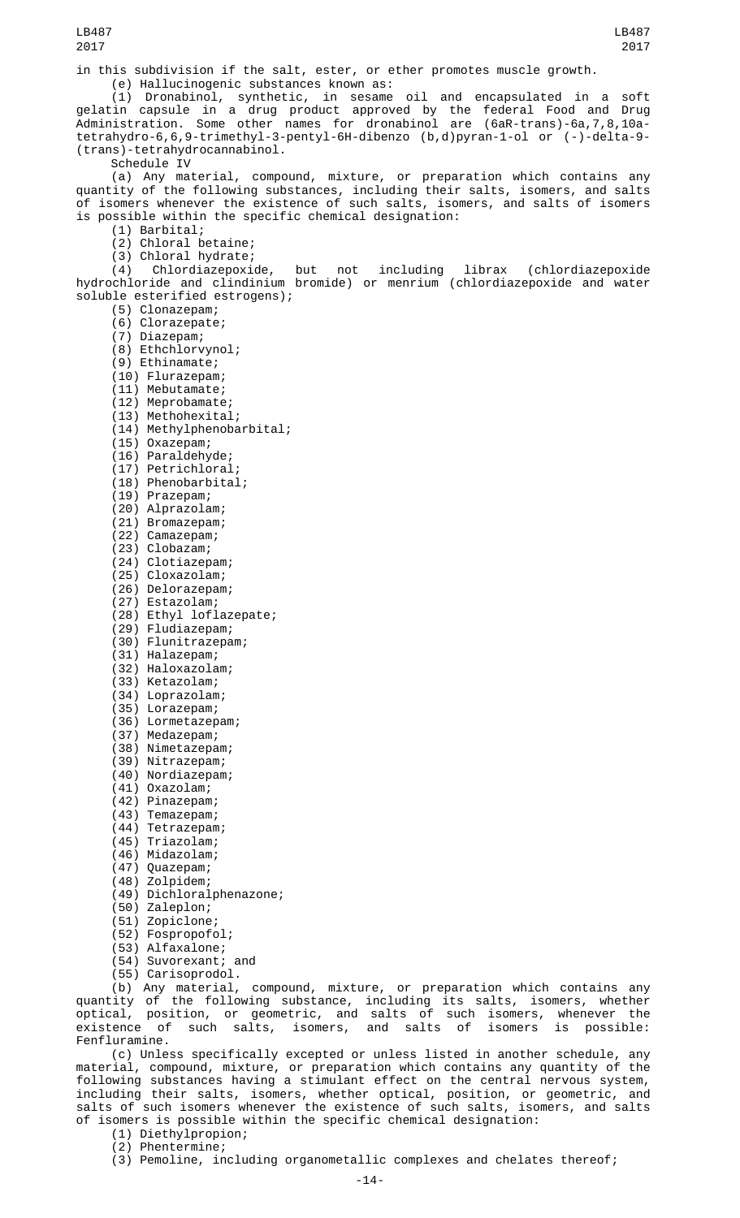in this subdivision if the salt, ester, or ether promotes muscle growth.

(e) Hallucinogenic substances known as:

(1) Dronabinol, synthetic, in sesame oil and encapsulated in a soft gelatin capsule in a drug product approved by the federal Food and Drug Administration. Some other names for dronabinol are (6aR-trans)-6a,7,8,10atetrahydro-6,6,9-trimethyl-3-pentyl-6H-dibenzo (b,d)pyran-1-ol or (-)-delta-9- (trans)-tetrahydrocannabinol.

Schedule IV

(a) Any material, compound, mixture, or preparation which contains any quantity of the following substances, including their salts, isomers, and salts of isomers whenever the existence of such salts, isomers, and salts of isomers is possible within the specific chemical designation:

(1) Barbital;

(2) Chloral betaine;

(3) Chloral hydrate;

(4) Chlordiazepoxide, but not including librax (chlordiazepoxide hydrochloride and clindinium bromide) or menrium (chlordiazepoxide and water soluble esterified estrogens);

- (5) Clonazepam;
- (6) Clorazepate;
- (7) Diazepam;
- (8) Ethchlorvynol;
- (9) Ethinamate;
- (10) Flurazepam;
- (11) Mebutamate;
- (12) Meprobamate;
- (13) Methohexital; (14) Methylphenobarbital;
- (15) Oxazepam;
- (16) Paraldehyde;
- (17) Petrichloral;
- (18) Phenobarbital;
- (19) Prazepam;
- (20) Alprazolam;
- (21) Bromazepam;
- (22) Camazepam;
- (23) Clobazam;
- (24) Clotiazepam;
- (25) Cloxazolam;
- (26) Delorazepam;
- (27) Estazolam;
- (28) Ethyl loflazepate;
- (29) Fludiazepam;
- (30) Flunitrazepam;
- (31) Halazepam;
- (32) Haloxazolam;
- (33) Ketazolam;  $(34)$  Loprazolam;
- (35) Lorazepam;
- (36) Lormetazepam;
- (37) Medazepam;
- (38) Nimetazepam;
- (39) Nitrazepam;
- (40) Nordiazepam;
- (41) Oxazolam;
- (42) Pinazepam;
- (43) Temazepam;
- (44) Tetrazepam;
- (45) Triazolam;
- (46) Midazolam;
- (47) Quazepam;
- (48) Zolpidem;
- (49) Dichloralphenazone;
- (50) Zaleplon;
- (51) Zopiclone;
- (52) Fospropofol;
- (53) Alfaxalone;
- (54) Suvorexant; and
- (55) Carisoprodol.

(b) Any material, compound, mixture, or preparation which contains any quantity of the following substance, including its salts, isomers, whether optical, position, or geometric, and salts of such isomers, whenever the existence of such salts, isomers, and salts of isomers is possible: Fenfluramine.

(c) Unless specifically excepted or unless listed in another schedule, any material, compound, mixture, or preparation which contains any quantity of the following substances having a stimulant effect on the central nervous system, including their salts, isomers, whether optical, position, or geometric, and salts of such isomers whenever the existence of such salts, isomers, and salts of isomers is possible within the specific chemical designation:

(1) Diethylpropion;

- (2) Phentermine;
- (3) Pemoline, including organometallic complexes and chelates thereof;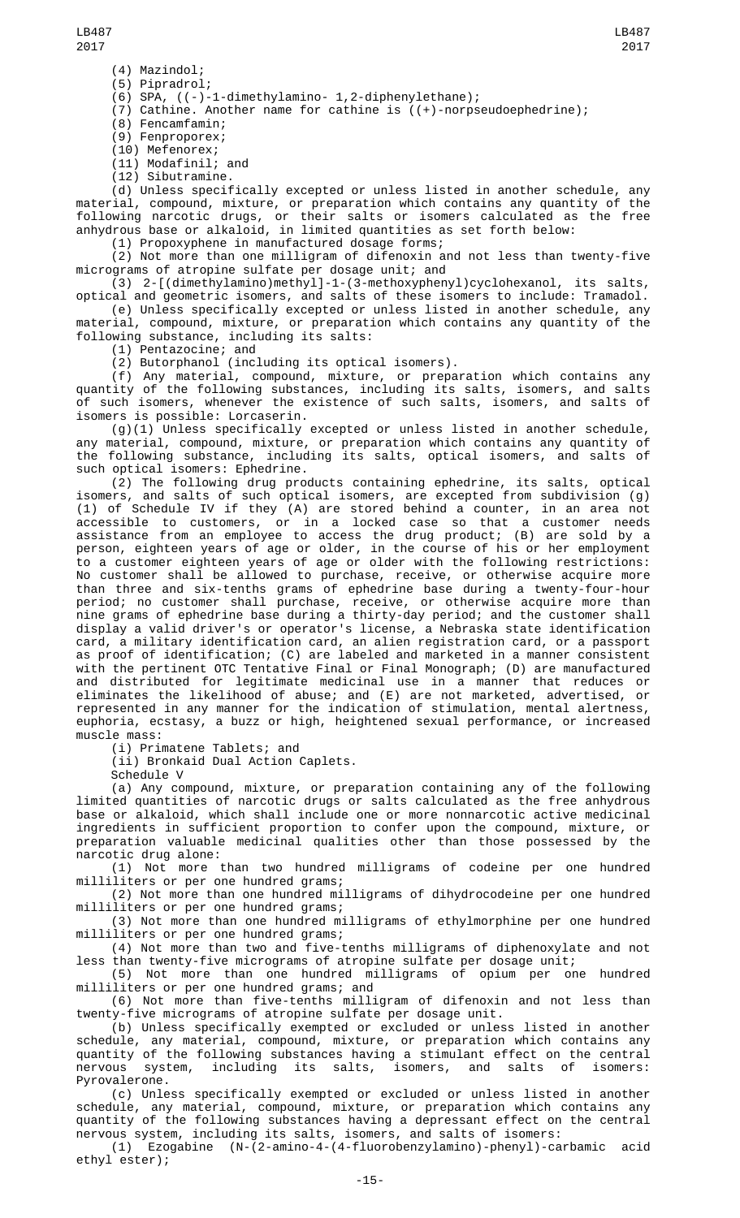- (4) Mazindol;
- (5) Pipradrol; (6) SPA, ((-)-1-dimethylamino- 1,2-diphenylethane);

(7) Cathine. Another name for cathine is ((+)-norpseudoephedrine);

(8) Fencamfamin;

(9) Fenproporex; (10) Mefenorex;

(11) Modafinil; and (12) Sibutramine.

(d) Unless specifically excepted or unless listed in another schedule, any material, compound, mixture, or preparation which contains any quantity of the following narcotic drugs, or their salts or isomers calculated as the free anhydrous base or alkaloid, in limited quantities as set forth below:

(1) Propoxyphene in manufactured dosage forms;

 $(2)$  Not more than one milligram of difenoxin and not less than twenty-five micrograms of atropine sulfate per dosage unit; and

(3) 2-[(dimethylamino)methyl]-1-(3-methoxyphenyl)cyclohexanol, its salts,

optical and geometric isomers, and salts of these isomers to include: Tramadol. (e) Unless specifically excepted or unless listed in another schedule, any material, compound, mixture, or preparation which contains any quantity of the following substance, including its salts:

(1) Pentazocine; and

(2) Butorphanol (including its optical isomers).

(f) Any material, compound, mixture, or preparation which contains any quantity of the following substances, including its salts, isomers, and salts of such isomers, whenever the existence of such salts, isomers, and salts of isomers is possible: Lorcaserin.

(g)(1) Unless specifically excepted or unless listed in another schedule, any material, compound, mixture, or preparation which contains any quantity of the following substance, including its salts, optical isomers, and salts of such optical isomers: Ephedrine.

(2) The following drug products containing ephedrine, its salts, optical isomers, and salts of such optical isomers, are excepted from subdivision (g) (1) of Schedule IV if they (A) are stored behind a counter, in an area not accessible to customers, or in a locked case so that a customer needs assistance from an employee to access the drug product; (B) are sold by a person, eighteen years of age or older, in the course of his or her employment to a customer eighteen years of age or older with the following restrictions: No customer shall be allowed to purchase, receive, or otherwise acquire more than three and six-tenths grams of ephedrine base during a twenty-four-hour period; no customer shall purchase, receive, or otherwise acquire more than nine grams of ephedrine base during a thirty-day period; and the customer shall display a valid driver's or operator's license, a Nebraska state identification card, a military identification card, an alien registration card, or a passport as proof of identification; (C) are labeled and marketed in a manner consistent with the pertinent OTC Tentative Final or Final Monograph; (D) are manufactured and distributed for legitimate medicinal use in a manner that reduces or eliminates the likelihood of abuse; and (E) are not marketed, advertised, or represented in any manner for the indication of stimulation, mental alertness, euphoria, ecstasy, a buzz or high, heightened sexual performance, or increased muscle mass:

(i) Primatene Tablets; and

(ii) Bronkaid Dual Action Caplets.

Schedule V

(a) Any compound, mixture, or preparation containing any of the following limited quantities of narcotic drugs or salts calculated as the free anhydrous base or alkaloid, which shall include one or more nonnarcotic active medicinal ingredients in sufficient proportion to confer upon the compound, mixture, or preparation valuable medicinal qualities other than those possessed by the narcotic drug alone:

(1) Not more than two hundred milligrams of codeine per one hundred milliliters or per one hundred grams;

(2) Not more than one hundred milligrams of dihydrocodeine per one hundred milliliters or per one hundred grams;

(3) Not more than one hundred milligrams of ethylmorphine per one hundred milliliters or per one hundred grams;

(4) Not more than two and five-tenths milligrams of diphenoxylate and not less than twenty-five micrograms of atropine sulfate per dosage unit;

(5) Not more than one hundred milligrams of opium per one hundred milliliters or per one hundred grams; and

(6) Not more than five-tenths milligram of difenoxin and not less than twenty-five micrograms of atropine sulfate per dosage unit.

(b) Unless specifically exempted or excluded or unless listed in another schedule, any material, compound, mixture, or preparation which contains any quantity of the following substances having a stimulant effect on the central nervous system, including its salts, isomers, and salts of isomers: Pyrovalerone.

(c) Unless specifically exempted or excluded or unless listed in another schedule, any material, compound, mixture, or preparation which contains any quantity of the following substances having a depressant effect on the central nervous system, including its salts, isomers, and salts of isomers:

(1) Ezogabine (N-(2-amino-4-(4-fluorobenzylamino)-phenyl)-carbamic acid ethyl ester);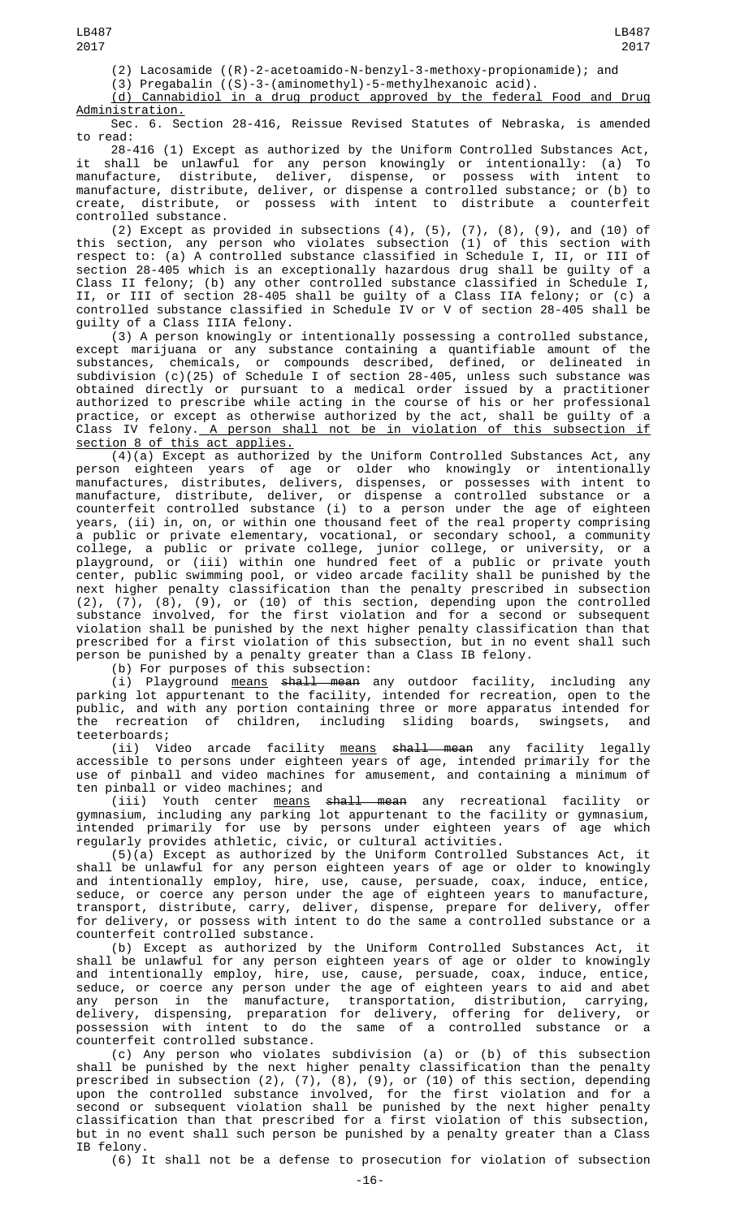LB487 2017

(2) Lacosamide ((R)-2-acetoamido-N-benzyl-3-methoxy-propionamide); and

LB487

(3) Pregabalin ((S)-3-(aminomethyl)-5-methylhexanoic acid).

(d) Cannabidiol in a drug product approved by the federal Food and Drug Administration.

Sec. 6. Section 28-416, Reissue Revised Statutes of Nebraska, is amended to read:

28-416 (1) Except as authorized by the Uniform Controlled Substances Act, it shall be unlawful for any person knowingly or intentionally: (a) To manufacture, distribute, deliver, dispense, or possess with intent to manufacture, distribute, deliver, or dispense a controlled substance; or (b) to create, distribute, or possess with intent to distribute a counterfeit controlled substance.

(2) Except as provided in subsections  $(4)$ ,  $(5)$ ,  $(7)$ ,  $(8)$ ,  $(9)$ , and  $(10)$  of this section, any person who violates subsection (1) of this section with respect to: (a) A controlled substance classified in Schedule I, II, or III of section 28-405 which is an exceptionally hazardous drug shall be guilty of a Class II felony; (b) any other controlled substance classified in Schedule I, II, or III of section 28-405 shall be guilty of a Class IIA felony; or (c) a controlled substance classified in Schedule IV or V of section 28-405 shall be guilty of a Class IIIA felony.<br>(3) A person knowingly or intentionally possessing a controlled substance,

(3) A person knowingly or intentionally possessing a controlled substance, except marijuana or any substance containing a quantifiable amount of the substances, chemicals, or compounds described, defined, or delineated in subdivision (c)(25) of Schedule I of section 28-405, unless such substance was obtained directly or pursuant to a medical order issued by a practitioner authorized to prescribe while acting in the course of his or her professional practice, or except as otherwise authorized by the act, shall be guilty of a Class IV felony.<u> A person shall not be in violation of this subsection if</u> section 8 of this act applies.

(4)(a) Except as authorized by the Uniform Controlled Substances Act, any person eighteen years of age or older who knowingly or intentionally manufactures, distributes, delivers, dispenses, or possesses with intent to manufacture, distribute, deliver, or dispense a controlled substance or a counterfeit controlled substance (i) to a person under the age of eighteen years, (ii) in, on, or within one thousand feet of the real property comprising a public or private elementary, vocational, or secondary school, a community college, a public or private college, junior college, or university, or a playground, or (iii) within one hundred feet of a public or private youth center, public swimming pool, or video arcade facility shall be punished by the next higher penalty classification than the penalty prescribed in subsection (2), (7), (8), (9), or (10) of this section, depending upon the controlled substance involved, for the first violation and for a second or subsequent violation shall be punished by the next higher penalty classification than that prescribed for a first violation of this subsection, but in no event shall such person be punished by a penalty greater than a Class IB felony.

(b) For purposes of this subsection:

(i) Playground <u>means</u> <del>shall mean</del> any outdoor facility, including any parking lot appurtenant to the facility, intended for recreation, open to the public, and with any portion containing three or more apparatus intended for the recreation of children, including sliding boards, swingsets, and teeterboards;

(ii) Video arcade facility <u>means</u> <del>shall mean</del> any facility legally accessible to persons under eighteen years of age, intended primarily for the use of pinball and video machines for amusement, and containing a minimum of ten pinball or video machines; and

(iii) Youth center <u>means</u> <del>shall mean</del> any recreational facility or gymnasium, including any parking lot appurtenant to the facility or gymnasium, intended primarily for use by persons under eighteen years of age which regularly provides athletic, civic, or cultural activities.

(5)(a) Except as authorized by the Uniform Controlled Substances Act, it shall be unlawful for any person eighteen years of age or older to knowingly and intentionally employ, hire, use, cause, persuade, coax, induce, entice, seduce, or coerce any person under the age of eighteen years to manufacture, transport, distribute, carry, deliver, dispense, prepare for delivery, offer for delivery, or possess with intent to do the same a controlled substance or a counterfeit controlled substance.

(b) Except as authorized by the Uniform Controlled Substances Act, it shall be unlawful for any person eighteen years of age or older to knowingly and intentionally employ, hire, use, cause, persuade, coax, induce, entice, seduce, or coerce any person under the age of eighteen years to aid and abet any person in the manufacture, transportation, distribution, carrying, delivery, dispensing, preparation for delivery, offering for delivery, or possession with intent to do the same of a controlled substance or a counterfeit controlled substance.

(c) Any person who violates subdivision (a) or (b) of this subsection shall be punished by the next higher penalty classification than the penalty prescribed in subsection (2), (7), (8), (9), or (10) of this section, depending upon the controlled substance involved, for the first violation and for a second or subsequent violation shall be punished by the next higher penalty classification than that prescribed for a first violation of this subsection, but in no event shall such person be punished by a penalty greater than a Class IB felony.

(6) It shall not be a defense to prosecution for violation of subsection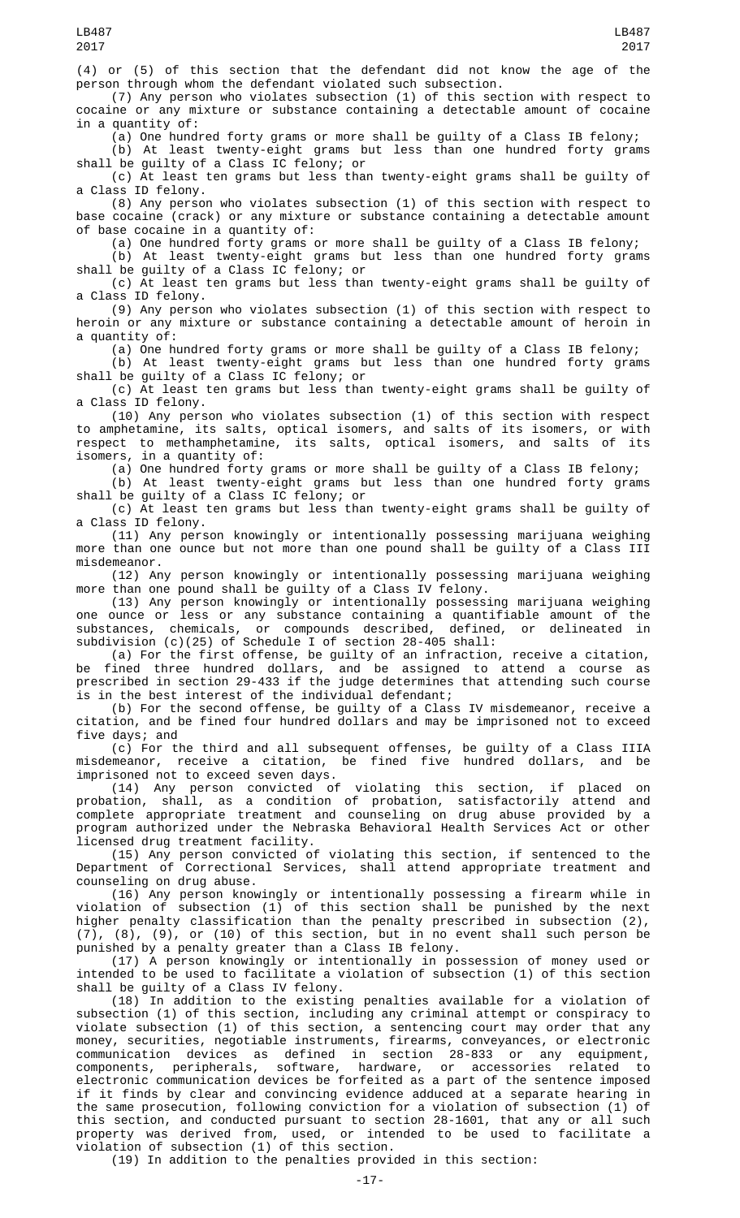person through whom the defendant violated such subsection. (7) Any person who violates subsection (1) of this section with respect to cocaine or any mixture or substance containing a detectable amount of cocaine in a quantity of:

(a) One hundred forty grams or more shall be guilty of a Class IB felony;

(b) At least twenty-eight grams but less than one hundred forty grams shall be guilty of a Class IC felony; or

(c) At least ten grams but less than twenty-eight grams shall be guilty of a Class ID felony.

(8) Any person who violates subsection (1) of this section with respect to base cocaine (crack) or any mixture or substance containing a detectable amount of base cocaine in a quantity of:

(a) One hundred forty grams or more shall be guilty of a Class IB felony;

(b) At least twenty-eight grams but less than one hundred forty grams shall be guilty of a Class IC felony; or

(c) At least ten grams but less than twenty-eight grams shall be guilty of a Class ID felony.

(9) Any person who violates subsection (1) of this section with respect to heroin or any mixture or substance containing a detectable amount of heroin in a quantity of:

(a) One hundred forty grams or more shall be guilty of a Class IB felony;

(b) At least twenty-eight grams but less than one hundred forty grams shall be guilty of a Class IC felony; or

(c) At least ten grams but less than twenty-eight grams shall be guilty of a Class ID felony.

(10) Any person who violates subsection (1) of this section with respect to amphetamine, its salts, optical isomers, and salts of its isomers, or with respect to methamphetamine, its salts, optical isomers, and salts of its isomers, in a quantity of:

(a) One hundred forty grams or more shall be guilty of a Class IB felony;

(b) At least twenty-eight grams but less than one hundred forty grams shall be guilty of a Class IC felony; or

(c) At least ten grams but less than twenty-eight grams shall be guilty of a Class ID felony.

(11) Any person knowingly or intentionally possessing marijuana weighing more than one ounce but not more than one pound shall be guilty of a Class III misdemeanor.

(12) Any person knowingly or intentionally possessing marijuana weighing more than one pound shall be guilty of a Class IV felony.

(13) Any person knowingly or intentionally possessing marijuana weighing one ounce or less or any substance containing a quantifiable amount of the substances, chemicals, or compounds described, defined, or delineated in subdivision (c)(25) of Schedule I of section 28-405 shall:

(a) For the first offense, be guilty of an infraction, receive a citation, be fined three hundred dollars, and be assigned to attend a course as prescribed in section 29-433 if the judge determines that attending such course is in the best interest of the individual defendant;

(b) For the second offense, be guilty of a Class IV misdemeanor, receive a citation, and be fined four hundred dollars and may be imprisoned not to exceed five days; and

(c) For the third and all subsequent offenses, be guilty of a Class IIIA misdemeanor, receive a citation, be fined five hundred dollars, and be imprisoned not to exceed seven days.

(14) Any person convicted of violating this section, if placed on probation, shall, as a condition of probation, satisfactorily attend and complete appropriate treatment and counseling on drug abuse provided by a program authorized under the Nebraska Behavioral Health Services Act or other licensed drug treatment facility.

(15) Any person convicted of violating this section, if sentenced to the Department of Correctional Services, shall attend appropriate treatment and counseling on drug abuse.

(16) Any person knowingly or intentionally possessing a firearm while in violation of subsection (1) of this section shall be punished by the next higher penalty classification than the penalty prescribed in subsection (2), (7), (8), (9), or (10) of this section, but in no event shall such person be punished by a penalty greater than a Class IB felony.

(17) A person knowingly or intentionally in possession of money used or intended to be used to facilitate a violation of subsection (1) of this section shall be guilty of a Class IV felony.

(18) In addition to the existing penalties available for a violation of subsection (1) of this section, including any criminal attempt or conspiracy to violate subsection (1) of this section, a sentencing court may order that any money, securities, negotiable instruments, firearms, conveyances, or electronic communication devices as defined in section 28-833 or any equipment, components, peripherals, software, hardware, or accessories related to electronic communication devices be forfeited as a part of the sentence imposed if it finds by clear and convincing evidence adduced at a separate hearing in the same prosecution, following conviction for a violation of subsection (1) of this section, and conducted pursuant to section 28-1601, that any or all such property was derived from, used, or intended to be used to facilitate a violation of subsection (1) of this section.

(19) In addition to the penalties provided in this section: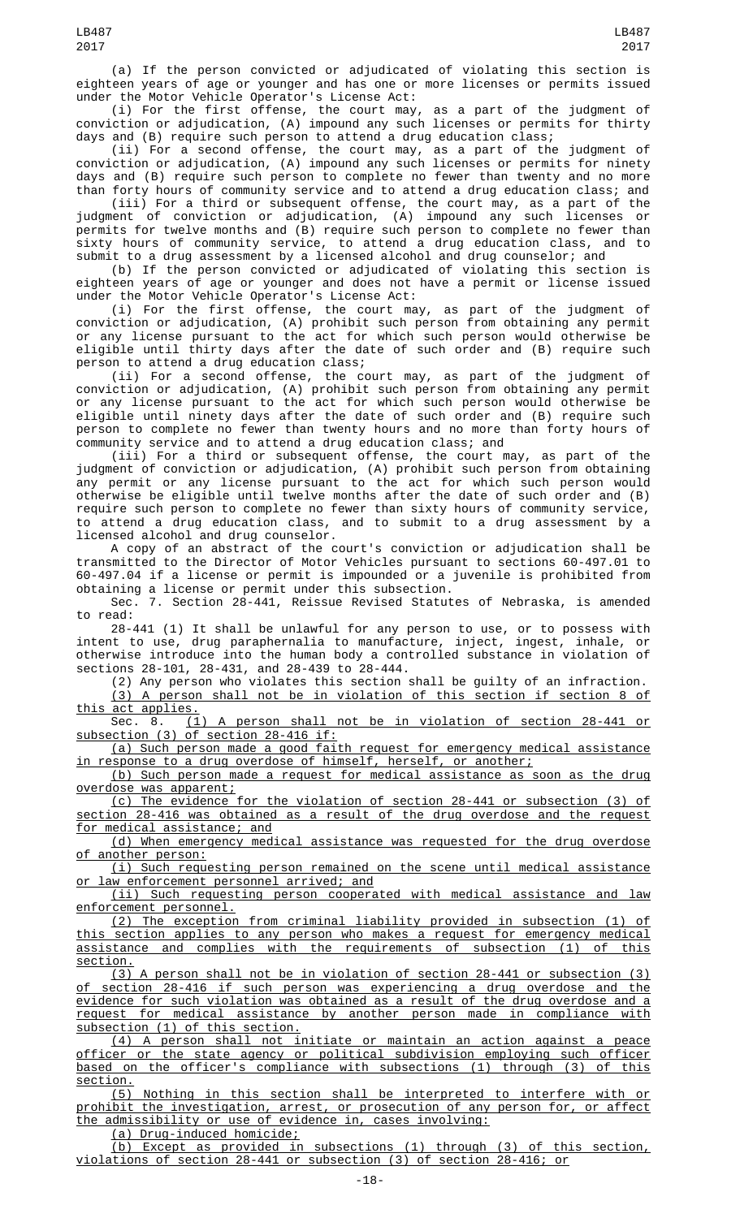(i) For the first offense, the court may, as a part of the judgment of conviction or adjudication, (A) impound any such licenses or permits for thirty days and (B) require such person to attend a drug education class;

(ii) For a second offense, the court may, as a part of the judgment of conviction or adjudication, (A) impound any such licenses or permits for ninety days and (B) require such person to complete no fewer than twenty and no more than forty hours of community service and to attend a drug education class; and

(iii) For a third or subsequent offense, the court may, as a part of the judgment of conviction or adjudication, (A) impound any such licenses or permits for twelve months and (B) require such person to complete no fewer than sixty hours of community service, to attend a drug education class, and to submit to a drug assessment by a licensed alcohol and drug counselor; and

(b) If the person convicted or adjudicated of violating this section is eighteen years of age or younger and does not have a permit or license issued under the Motor Vehicle Operator's License Act:

(i) For the first offense, the court may, as part of the judgment of conviction or adjudication, (A) prohibit such person from obtaining any permit or any license pursuant to the act for which such person would otherwise be eligible until thirty days after the date of such order and (B) require such person to attend a drug education class;

(ii) For a second offense, the court may, as part of the judgment of conviction or adjudication, (A) prohibit such person from obtaining any permit or any license pursuant to the act for which such person would otherwise be eligible until ninety days after the date of such order and (B) require such person to complete no fewer than twenty hours and no more than forty hours of community service and to attend a drug education class; and

(iii) For a third or subsequent offense, the court may, as part of the judgment of conviction or adjudication, (A) prohibit such person from obtaining any permit or any license pursuant to the act for which such person would otherwise be eligible until twelve months after the date of such order and (B) require such person to complete no fewer than sixty hours of community service, to attend a drug education class, and to submit to a drug assessment by a licensed alcohol and drug counselor.

A copy of an abstract of the court's conviction or adjudication shall be transmitted to the Director of Motor Vehicles pursuant to sections 60-497.01 to 60-497.04 if a license or permit is impounded or a juvenile is prohibited from obtaining a license or permit under this subsection.

Sec. 7. Section 28-441, Reissue Revised Statutes of Nebraska, is amended to read:

28-441 (1) It shall be unlawful for any person to use, or to possess with intent to use, drug paraphernalia to manufacture, inject, ingest, inhale, or otherwise introduce into the human body a controlled substance in violation of sections 28-101, 28-431, and 28-439 to 28-444.

(2) Any person who violates this section shall be guilty of an infraction. (3) A person shall not be in violation of this section if section 8 of this act applies.

Sec. 8. (1) A person shall not be in violation of section 28-441 or subsection (3) of section 28-416 if:

(a) Such person made a good faith request for emergency medical assistance in response to a drug overdose of himself, herself, or another;

(b) Such person made a request for medical assistance as soon as the drug overdose was apparent;

(c) The evidence for the violation of section 28-441 or subsection (3) of section 28-416 was obtained as a result of the drug overdose and the request for medical assistance; and

(d) When emergency medical assistance was requested for the drug overdose of another person:

(i) Such requesting person remained on the scene until medical assistance or law enforcement personnel arrived; and

(ii) Such requesting person cooperated with medical assistance and law enforcement personnel.

(2) The exception from criminal liability provided in subsection (1) of this section applies to any person who makes a request for emergency medical assistance and complies with the requirements of subsection (1) of this section.

(3) A person shall not be in violation of section 28-441 or subsection (3) section 28-416 if such person was experiencing a drug overdose and the evidence for such violation was obtained as a result of the drug overdose and a request for medical assistance by another person made in compliance with subsection (1) of this section.

(4) A person shall not initiate or maintain an action against a peace officer or the state agency or political subdivision employing such officer based on the officer's compliance with subsections (1) through (3) of this section.

(5) Nothing in this section shall be interpreted to interfere with or prohibit the investigation, arrest, or prosecution of any person for, or affect the admissibility or use of evidence in, cases involving:

(a) Drug-induced homicide;

(b) Except as provided in subsections (1) through (3) of this section, violations of section 28-441 or subsection (3) of section 28-416; or